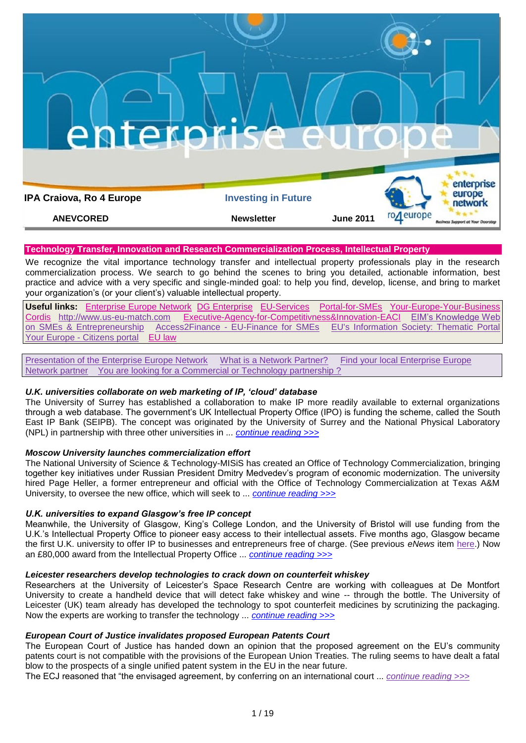

# **Technology Transfer, Innovation and Research Commercialization Process, Intellectual Property**

We recognize the vital importance technology transfer and intellectual property professionals play in the research commercialization process. We search to go behind the scenes to bring you detailed, actionable information, best practice and advice with a very specific and single-minded goal: to help you find, develop, license, and bring to market your organization"s (or your client"s) valuable intellectual property.

**Useful links:** [Enterprise Europe Network](http://www.enterprise-europe-network.ec.europa.eu/index_en.htm) [DG Enterprise](http://ec.europa.eu/enterprise/index_en.htm) [EU-Services](http://ec.europa.eu/youreurope/business/index_ro.htm) [Portal-for-SMEs](http://ec.europa.eu/enterprise/sme/index_en.htm)[Your-Europe-Your-Business](http://ec.europa.eu/youreurope/business/index_ro.htm) [Cordis](http://cordis.europa.eu/home_en.html) [http://www.us-eu-match.com](http://www.us-eu-match.com/) [Executive-Agency-for-Competitivness&Innovation-EACI](http://ec.europa.eu/eaci) [EIM"s Knowledge Web](http://www.entrepreneurship-sme.eu/index.cfm/1,1,0,0,html)  on SMEs & [Entrepreneurship](http://www.entrepreneurship-sme.eu/index.cfm/1,1,0,0,html) Access2Finance - [EU-Finance for SMEs](http://www.access2finance.eu/) [EU's Information Society: Thematic Portal](http://ec.europa.eu/information_society/newsroom/cf/menu.cfm)  Your Europe - [Citizens portal](http://www.oureuropebusiness.eu/2009/11/19/your-europe-citizens-a-total-revamp-of-ye-bs-sister-portal/) [EU law](http://eur-lex.europa.eu/en/index.htm)

[Presentation of the Enterprise Europe Network](http://www.enterprise-europe-network.ec.europa.eu/about/about) [What is a Network Partner?](http://www.enterprise-europe-network.ec.europa.eu/about/partners) [Find your local Enterprise Europe](http://www.enterprise-europe-network.ec.europa.eu/about/branches)  [Network partner](http://www.enterprise-europe-network.ec.europa.eu/about/branches) You are looking for a Commercial or Technology partnership?

# *U.K. universities collaborate on web marketing of IP, "cloud" database*

The University of Surrey has established a collaboration to make IP more readily available to external organizations through a web database. The government"s UK Intellectual Property Office (IPO) is funding the scheme, called the South East IP Bank (SEIPB). The concept was originated by the University of Surrey and the National Physical Laboratory (NPL) in partnership with three other universities in ... *[continue reading >>>](http://www.technologytransfertactics.com/content/2011/03/23/u-k-universities-collaborate-on-web-marketing-of-ip-%e2%80%98cloud%e2%80%99-database/)*

# *Moscow University launches commercialization effort*

The National University of Science & Technology-MISiS has created an Office of Technology Commercialization, bringing together key initiatives under Russian President Dmitry Medvedev"s program of economic modernization. The university hired Page Heller, a former entrepreneur and official with the Office of Technology Commercialization at Texas A&M University, to oversee the new office, which will seek to ... *[continue reading >>>](http://www.technologytransfertactics.com/content/2011/05/18/moscow-university-launches-commercialization-effort/)*

# *U.K. universities to expand Glasgow"s free IP concept*

Meanwhile, the University of Glasgow, King's College London, and the University of Bristol will use funding from the U.K."s Intellectual Property Office to pioneer easy access to their intellectual assets. Five months ago, Glasgow became the first U.K. university to offer IP to businesses and entrepreneurs free of charge. (See previous *eNews* item [here.](http://www.technologytransfertactics.com/2010/12/01/u-glasgow-allows-free-use-of-research-ip/)) Now an £80,000 award from the Intellectual Property Office ... *[continue reading >>>](http://www.technologytransfertactics.com/content/2011/03/23/u-k-universities-to-expand-glasgows-free-ip-concept/)*

# *Leicester researchers develop technologies to crack down on counterfeit whiskey*

Researchers at the University of Leicester"s Space Research Centre are working with colleagues at De Montfort University to create a handheld device that will detect fake whiskey and wine -- through the bottle. The University of Leicester (UK) team already has developed the technology to spot counterfeit medicines by scrutinizing the packaging. Now the experts are working to transfer the technology ... *[continue reading >>>](http://www.technologytransfertactics.com/content/2011/03/23/leicester-researchers-develop-technologies-to-crack-down-on-counterfeit-whiskey/)*

# *European Court of Justice invalidates proposed European Patents Court*

The European Court of Justice has handed down an opinion that the proposed agreement on the EU"s community patents court is not compatible with the provisions of the European Union Treaties. The ruling seems to have dealt a fatal blow to the prospects of a single unified patent system in the EU in the near future.

The ECJ reasoned that "the envisaged agreement, by conferring on an international court ... *[continue reading >>>](http://www.technologytransfertactics.com/content/2011/03/23/european-court-of-justice-invalidates-proposed-european-patents-court/)*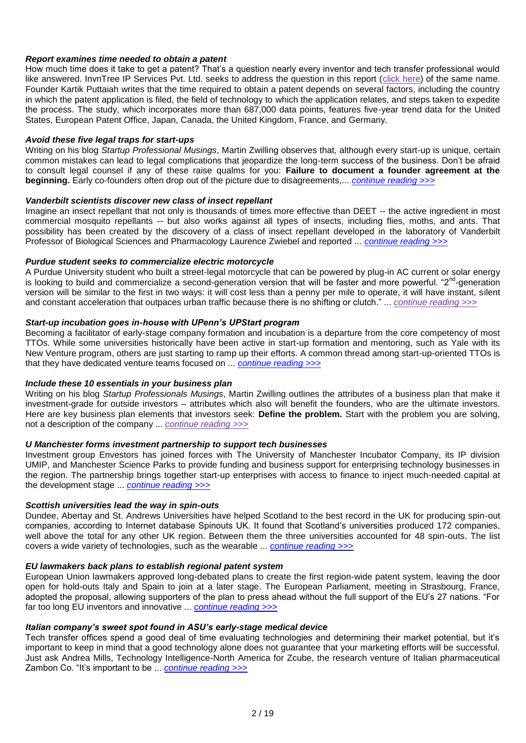## *Report examines time needed to obtain a patent*

How much time does it take to get a patent? That"s a question nearly every inventor and tech transfer professional would like answered. InvnTree IP Services Pvt. Ltd. seeks to address the question in this report [\(click here\)](http://invntree.com/blogs/how-long-does-it-take-get-patent) of the same name. Founder Kartik Puttaiah writes that the time required to obtain a patent depends on several factors, including the country in which the patent application is filed, the field of technology to which the application relates, and steps taken to expedite the process. The study, which incorporates more than 687,000 data points, features five-year trend data for the United States, European Patent Office, Japan, Canada, the United Kingdom, France, and Germany.

### *Avoid these five legal traps for start-ups*

Writing on his blog *Startup Professional Musings*, Martin Zwilling observes that, although every start-up is unique, certain common mistakes can lead to legal complications that jeopardize the long-term success of the business. Don"t be afraid to consult legal counsel if any of these raise qualms for you: **Failure to document a founder agreement at the beginning.** Early co-founders often drop out of the picture due to disagreements,... *[continue reading >>>](http://www.technologytransfertactics.com/content/2011/05/04/avoid-these-five-legal-traps-for-start-ups/)*

## *Vanderbilt scientists discover new class of insect repellant*

Imagine an insect repellant that not only is thousands of times more effective than DEET -- the active ingredient in most commercial mosquito repellants -- but also works against all types of insects, including flies, moths, and ants. That possibility has been created by the discovery of a class of insect repellant developed in the laboratory of Vanderbilt Professor of Biological Sciences and Pharmacology Laurence Zwiebel and reported ... *[continue reading >>>](http://www.technologytransfertactics.com/content/2011/05/11/vanderbilt-scientists-discover-new-class-of-insect-repellant/)*

## *Purdue student seeks to commercialize electric motorcycle*

A Purdue University student who built a street-legal motorcycle that can be powered by plug-in AC current or solar energy is looking to build and commercialize a second-generation version that will be faster and more powerful. "2<sup>nd</sup>-generation version will be similar to the first in two ways: it will cost less than a penny per mile to operate, it will have instant, silent and constant acceleration that outpaces urban traffic because there is no shifting or clutch." ... *[continue reading >>>](http://www.technologytransfertactics.com/content/2011/05/11/purdue-student-seeks-to-commercialize-electric-motorcycle/)*

## *Start-up incubation goes in-house with UPenn"s UPStart program*

Becoming a facilitator of early-stage company formation and incubation is a departure from the core competency of most TTOs. While some universities historically have been active in start-up formation and mentoring, such as Yale with its New Venture program, others are just starting to ramp up their efforts. A common thread among start-up-oriented TTOs is that they have dedicated venture teams focused on ... *[continue reading >>>](http://www.technologytransfertactics.com/content/2011/05/18/start-up-incubation-goes-in-house-with-upenn%e2%80%99s-upstart-program/)*

# *Include these 10 essentials in your business plan*

Writing on his blog *Startup Professionals Musings*, Martin Zwilling outlines the attributes of a business plan that make it investment-grade for outside investors – attributes which also will benefit the founders, who are the ultimate investors. Here are key business plan elements that investors seek: **Define the problem.** Start with the problem you are solving, not a description of the company ... *[continue reading >>>](http://www.technologytransfertactics.com/content/2011/05/18/include-these-10-essentials-in-your-business-plan/)*

### *U Manchester forms investment partnership to support tech businesses*

Investment group Envestors has joined forces with The University of Manchester Incubator Company, its IP division UMIP, and Manchester Science Parks to provide funding and business support for enterprising technology businesses in the region. The partnership brings together start-up enterprises with access to finance to inject much-needed capital at the development stage ... *[continue reading >>>](http://www.ipmarketingadvisor.com/content/2011/05/17/u-manchester-forms-investment-partnership-to-support-tech-businesses/)*

### *Scottish universities lead the way in spin-outs*

Dundee, Abertay and St. Andrews Universities have helped Scotland to the best record in the UK for producing spin-out companies, according to Internet database Spinouts UK. It found that Scotland"s universities produced 172 companies, well above the total for any other UK region. Between them the three universities accounted for 48 spin-outs. The list covers a wide variety of technologies, such as the wearable ... *[continue reading >>>](http://www.ipmarketingadvisor.com/content/2011/05/17/scottish-universities-lead-the-way-in-spin-outs/)*

### *EU lawmakers back plans to establish regional patent system*

European Union lawmakers approved long-debated plans to create the first region-wide patent system, leaving the door open for hold-outs Italy and Spain to join at a later stage. The European Parliament, meeting in Strasbourg, France, adopted the proposal, allowing supporters of the plan to press ahead without the full support of the EU"s 27 nations. "For far too long EU inventors and innovative ... *[continue reading >>>](http://www.technologytransfertactics.com/content/2011/02/23/eu-lawmakers-back-plans-to-establish-regional-patent-system/)*

### *Italian company"s sweet spot found in ASU"s early-stage medical device*

Tech transfer offices spend a good deal of time evaluating technologies and determining their market potential, but it's important to keep in mind that a good technology alone does not guarantee that your marketing efforts will be successful. Just ask Andrea Mills, Technology Intelligence-North America for Zcube, the research venture of Italian pharmaceutical Zambon Co. "It"s important to be ... *[continue reading >>>](http://www.ipmarketingadvisor.com/content/2011/02/15/italian-company%e2%80%99s-sweet-spot-found-in-asu%e2%80%99s-early-stage-medical-device/)*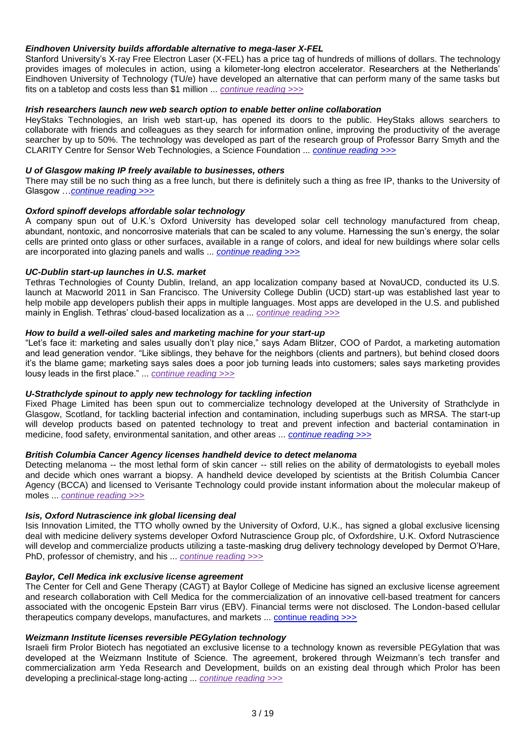## *Eindhoven University builds affordable alternative to mega-laser X-FEL*

Stanford University"s X-ray Free Electron Laser (X-FEL) has a price tag of hundreds of millions of dollars. The technology provides images of molecules in action, using a kilometer-long electron accelerator. Researchers at the Netherlands" Eindhoven University of Technology (TU/e) have developed an alternative that can perform many of the same tasks but fits on a tabletop and costs less than \$1 million ... *[continue reading >>>](http://www.technologytransfertactics.com/content/2011/01/12/eindhoven-university-builds-affordable-alternative-to-mega-laser-x-fel/)*

## *Irish researchers launch new web search option to enable better online collaboration*

HeyStaks Technologies, an Irish web start-up, has opened its doors to the public. HeyStaks allows searchers to collaborate with friends and colleagues as they search for information online, improving the productivity of the average searcher by up to 50%. The technology was developed as part of the research group of Professor Barry Smyth and the CLARITY Centre for Sensor Web Technologies, a Science Foundation ... *[continue reading >>>](http://www.technologytransfertactics.com/content/2011/01/19/irish-researchers-launch-new-web-search-option-to-enable-better-online-collaboration/)*

## *U of Glasgow making IP freely available to businesses, others*

There may still be no such thing as a free lunch, but there is definitely such a thing as free IP, thanks to the University of Glasgow …*[continue reading >>>](http://www.technologytransfertactics.com/lp/ipma-issue-2010/)*

## *Oxford spinoff develops affordable solar technology*

A company spun out of U.K."s Oxford University has developed solar cell technology manufactured from cheap, abundant, nontoxic, and noncorrosive materials that can be scaled to any volume. Harnessing the sun"s energy, the solar cells are printed onto glass or other surfaces, available in a range of colors, and ideal for new buildings where solar cells are incorporated into glazing panels and walls ... *[continue reading >>>](http://www.technologytransfertactics.com/content/2011/01/12/oxford-spinoff-develops-affordable-solar-technology/)*

## *UC-Dublin start-up launches in U.S. market*

Tethras Technologies of County Dublin, Ireland, an app localization company based at NovaUCD, conducted its U.S. launch at Macworld 2011 in San Francisco. The University College Dublin (UCD) start-up was established last year to help mobile app developers publish their apps in multiple languages. Most apps are developed in the U.S. and published mainly in English. Tethras' cloud-based localization as a ... *[continue reading >>>](http://www.technologytransfertactics.com/content/2011/02/02/uc-dublin-start-up-launches-in-us-market/)* 

# *How to build a well-oiled sales and marketing machine for your start-up*

"Let"s face it: marketing and sales usually don"t play nice," says Adam Blitzer, COO of Pardot, a marketing automation and lead generation vendor. "Like siblings, they behave for the neighbors (clients and partners), but behind closed doors it"s the blame game; marketing says sales does a poor job turning leads into customers; sales says marketing provides lousy leads in the first place." ... *[continue reading >>>](http://www.ipmarketingadvisor.com/content/2011/04/12/how-to-build-a-well-oiled-sales-and-marketing-machine-for-your-start-up/)*

# *U-Strathclyde spinout to apply new technology for tackling infection*

Fixed Phage Limited has been spun out to commercialize technology developed at the University of Strathclyde in Glasgow, Scotland, for tackling bacterial infection and contamination, including superbugs such as MRSA. The start-up will develop products based on patented technology to treat and prevent infection and bacterial contamination in medicine, food safety, environmental sanitation, and other areas ... *[continue reading >>>](http://www.technologytransfertactics.com/content/2011/02/09/u-strathclyde-spinout-to-apply-new-technology-for-tackling-infection/)*

## *British Columbia Cancer Agency licenses handheld device to detect melanoma*

Detecting melanoma -- the most lethal form of skin cancer -- still relies on the ability of dermatologists to eyeball moles and decide which ones warrant a biopsy. A handheld device developed by scientists at the British Columbia Cancer Agency (BCCA) and licensed to Verisante Technology could provide instant information about the molecular makeup of moles ... *[continue reading >>>](http://www.technologytransfertactics.com/content/2011/02/09/british-columbia-cancer-agency-licenses-handheld-device-to-detect-melanoma/)*

### *Isis, Oxford Nutrascience ink global licensing deal*

Isis Innovation Limited, the TTO wholly owned by the University of Oxford, U.K., has signed a global exclusive licensing deal with medicine delivery systems developer Oxford Nutrascience Group plc, of Oxfordshire, U.K. Oxford Nutrascience will develop and commercialize products utilizing a taste-masking drug delivery technology developed by Dermot O'Hare, PhD, professor of chemistry, and his ... *[continue reading >>>](http://www.technologytransfertactics.com/content/2011/02/09/isis-oxford-nutrascience-ink-global-licensing-deal/)*

### *Baylor, Cell Medica ink exclusive license agreement*

The Center for Cell and Gene Therapy (CAGT) at Baylor College of Medicine has signed an exclusive license agreement and research collaboration with Cell Medica for the commercialization of an innovative cell-based treatment for cancers associated with the oncogenic Epstein Barr virus (EBV). Financial terms were not disclosed. The London-based cellular therapeutics company develops, manufactures, and markets ... [continue reading >>>](http://www.technologytransfertactics.com/content/2011/01/12/baylor-cell-medica-ink-exclusive-license-agreement/)

## *Weizmann Institute licenses reversible PEGylation technology*

Israeli firm Prolor Biotech has negotiated an exclusive license to a technology known as reversible PEGylation that was developed at the Weizmann Institute of Science. The agreement, brokered through Weizmann"s tech transfer and commercialization arm Yeda Research and Development, builds on an existing deal through which Prolor has been developing a preclinical-stage long-acting ... *[continue reading >>>](http://www.technologytransfertactics.com/content/2011/01/26/weizmann-institute-licenses-reversible-pegylation-technology/)*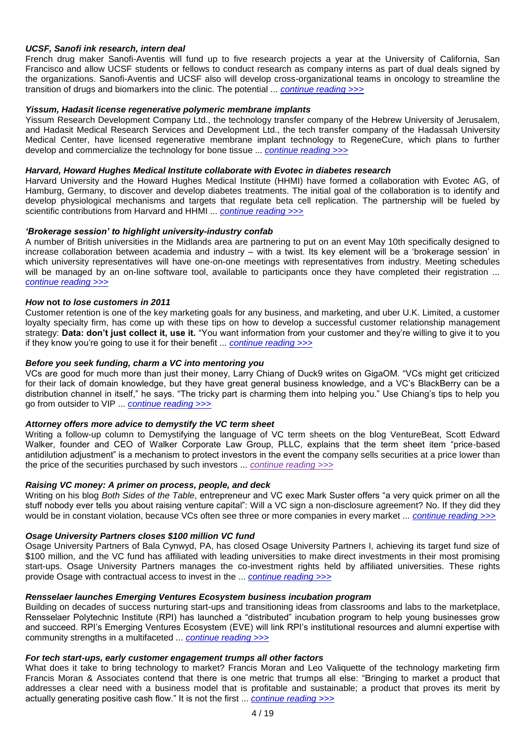## *UCSF, Sanofi ink research, intern deal*

French drug maker Sanofi-Aventis will fund up to five research projects a year at the University of California, San Francisco and allow UCSF students or fellows to conduct research as company interns as part of dual deals signed by the organizations. Sanofi-Aventis and UCSF also will develop cross-organizational teams in oncology to streamline the transition of drugs and biomarkers into the clinic. The potential ... *[continue reading >>>](http://www.technologytransfertactics.com/content/2011/01/26/ucsf-sanofi-ink-research-intern-deal/)*

## *Yissum, Hadasit license regenerative polymeric membrane implants*

Yissum Research Development Company Ltd., the technology transfer company of the Hebrew University of Jerusalem, and Hadasit Medical Research Services and Development Ltd., the tech transfer company of the Hadassah University Medical Center, have licensed regenerative membrane implant technology to RegeneCure, which plans to further develop and commercialize the technology for bone tissue ... *[continue reading >>>](http://www.technologytransfertactics.com/content/2011/03/16/yissum-hadasit-license-regenerative-polymeric-membrane-implants/)*

### *Harvard, Howard Hughes Medical Institute collaborate with Evotec in diabetes research*

Harvard University and the Howard Hughes Medical Institute (HHMI) have formed a collaboration with Evotec AG, of Hamburg, Germany, to discover and develop diabetes treatments. The initial goal of the collaboration is to identify and develop physiological mechanisms and targets that regulate beta cell replication. The partnership will be fueled by scientific contributions from Harvard and HHMI ... *[continue reading >>>](http://www.technologytransfertactics.com/content/2011/03/16/harvard-howard-hughes-medical-institute-collaborate-with-evotec-in-diabetes-research/)*

### *"Brokerage session" to highlight university-industry confab*

A number of British universities in the Midlands area are partnering to put on an event May 10th specifically designed to increase collaboration between academia and industry – with a twist. Its key element will be a "brokerage session" in which university representatives will have one-on-one meetings with representatives from industry. Meeting schedules will be managed by an on-line software tool, available to participants once they have completed their registration ... *[continue reading >>>](http://www.ipmarketingadvisor.com/content/2011/03/29/%e2%80%98brokerage-session%e2%80%99-to-highlight-university-industry-confab/)*

### *How* **not** *to lose customers in 2011*

Customer retention is one of the key marketing goals for any business, and marketing, and uber U.K. Limited, a customer loyalty specialty firm, has come up with these tips on how to develop a successful customer relationship management strategy: **Data: don't just collect it, use it.** "You want information from your customer and they"re willing to give it to you if they know you"re going to use it for their benefit ... *[continue reading >>>](http://www.ipmarketingadvisor.com/content/2011/04/26/how-not-to-lose-customers-in-2011/)*

## *Before you seek funding, charm a VC into mentoring you*

VCs are good for much more than just their money, Larry Chiang of Duck9 writes on GigaOM. "VCs might get criticized for their lack of domain knowledge, but they have great general business knowledge, and a VC"s BlackBerry can be a distribution channel in itself," he says. "The tricky part is charming them into helping you." Use Chiang"s tips to help you go from outsider to VIP ... *[continue reading >>>](http://www.technologytransfertactics.com/content/2011/01/12/before-you-seek-funding-charm-a-vc-into-mentoring-you/)*

## *Attorney offers more advice to demystify the VC term sheet*

Writing a follow-up column to Demystifying the language of VC term sheets on the blog VentureBeat, Scott Edward Walker, founder and CEO of Walker Corporate Law Group, PLLC, explains that the term sheet item "price-based antidilution adjustment" is a mechanism to protect investors in the event the company sells securities at a price lower than the price of the securities purchased by such investors ... *[continue reading >>>](http://www.technologytransfertactics.com/content/2011/03/09/attorney-offers-more-advice-to-demystify-the-vc-term-sheet/)*

### *Raising VC money: A primer on process, people, and deck*

Writing on his blog *Both Sides of the Table*, entrepreneur and VC exec Mark Suster offers "a very quick primer on all the stuff nobody ever tells you about raising venture capital": Will a VC sign a non-disclosure agreement? No. If they did they would be in constant violation, because VCs often see three or more companies in every market ... *[continue reading >>>](http://www.technologytransfertactics.com/content/2011/01/19/raising-vc-money-a-primer-on-process-people-and-deck/)*

## *Osage University Partners closes \$100 million VC fund*

Osage University Partners of Bala Cynwyd, PA, has closed Osage University Partners I, achieving its target fund size of \$100 million, and the VC fund has affiliated with leading universities to make direct investments in their most promising start-ups. Osage University Partners manages the co-investment rights held by affiliated universities. These rights provide Osage with contractual access to invest in the ... *[continue reading >>>](http://www.technologytransfertactics.com/content/2011/03/09/osage-university-partners-closes-100-million-vc-fund/)*

## *Rensselaer launches Emerging Ventures Ecosystem business incubation program*

Building on decades of success nurturing start-ups and transitioning ideas from classrooms and labs to the marketplace, Rensselaer Polytechnic Institute (RPI) has launched a "distributed" incubation program to help young businesses grow and succeed. RPI"s Emerging Ventures Ecosystem (EVE) will link RPI"s institutional resources and alumni expertise with community strengths in a multifaceted ... *[continue reading >>>](http://www.technologytransfertactics.com/content/2011/03/16/renssalaer-launches-emerging-ventures-ecosystem-business-incubation-program/)*

### *For tech start-ups, early customer engagement trumps all other factors*

What does it take to bring technology to market? Francis Moran and Leo Valiquette of the technology marketing firm Francis Moran & Associates contend that there is one metric that trumps all else: "Bringing to market a product that addresses a clear need with a business model that is profitable and sustainable; a product that proves its merit by actually generating positive cash flow." It is not the first ... *[continue reading >>>](http://www.ipmarketingadvisor.com/content/2011/03/08/for-tech-start-ups-early-customer-engagement-trumps-all-other-factors/)*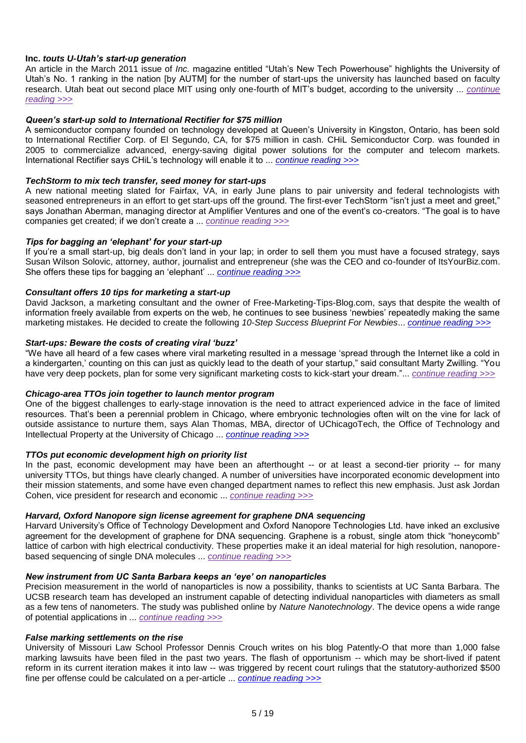## **Inc.** *touts U-Utah"s start-up generation*

An article in the March 2011 issue of *Inc.* magazine entitled "Utah"s New Tech Powerhouse" highlights the University of Utah"s No. 1 ranking in the nation [by AUTM] for the number of start-ups the university has launched based on faculty research. Utah beat out second place MIT using only one-fourth of MIT"s budget, according to the university ... *[continue](http://www.ipmarketingadvisor.com/content/2011/03/15/inc-touts-u-utah%e2%80%99s-start-up-generation/)  [reading >>>](http://www.ipmarketingadvisor.com/content/2011/03/15/inc-touts-u-utah%e2%80%99s-start-up-generation/)*

## *Queen"s start-up sold to International Rectifier for \$75 million*

A semiconductor company founded on technology developed at Queen"s University in Kingston, Ontario, has been sold to International Rectifier Corp. of El Segundo, CA, for \$75 million in cash. CHiL Semiconductor Corp. was founded in 2005 to commercialize advanced, energy-saving digital power solutions for the computer and telecom markets. International Rectifier says CHiL"s technology will enable it to ... *[continue reading >>>](http://www.technologytransfertactics.com/content/2011/03/16/queen%E2%80%99s-start-up-sold-to-international-rectifier-for-75-million/)*

### *TechStorm to mix tech transfer, seed money for start-ups*

A new national meeting slated for Fairfax, VA, in early June plans to pair university and federal technologists with seasoned entrepreneurs in an effort to get start-ups off the ground. The first-ever TechStorm "isn't just a meet and greet." says Jonathan Aberman, managing director at Amplifier Ventures and one of the event's co-creators. "The goal is to have companies get created; if we don"t create a ... *[continue reading >>>](http://www.ipmarketingadvisor.com/content/2011/04/05/techstorm-to-mix-tech-transfer-seed-money-for-start-ups/)*

## *Tips for bagging an "elephant" for your start-up*

If you"re a small start-up, big deals don"t land in your lap; in order to sell them you must have a focused strategy, says Susan Wilson Solovic, attorney, author, journalist and entrepreneur (she was the CEO and co-founder of ItsYourBiz.com. She offers these tips for bagging an "elephant" ... *[continue reading >>>](http://www.ipmarketingadvisor.com/content/2011/05/03/tips-for-bagging-an-%e2%80%98elephant%e2%80%99-for-your-start-up/)*

## *Consultant offers 10 tips for marketing a start-up*

David Jackson, a marketing consultant and the owner of Free-Marketing-Tips-Blog.com, says that despite the wealth of information freely available from experts on the web, he continues to see business "newbies" repeatedly making the same marketing mistakes. He decided to create the following *10-Step Success Blueprint For Newbies*... *[continue reading >>>](http://www.ipmarketingadvisor.com/content/2011/05/03/consultant-offers-10-tips-for-marketing-a-start-up/)*

## *Start-ups: Beware the costs of creating viral "buzz"*

"We have all heard of a few cases where viral marketing resulted in a message "spread through the Internet like a cold in a kindergarten,' counting on this can just as quickly lead to the death of your startup," said consultant Marty Zwilling. "You have very deep pockets, plan for some very significant marketing costs to kick-start your dream."... *[continue reading >>>](http://www.ipmarketingadvisor.com/content/2011/04/05/start-ups-beware-the-costs-of-creating-viral-%e2%80%98buzz%e2%80%99/)*

### *Chicago-area TTOs join together to launch mentor program*

One of the biggest challenges to early-stage innovation is the need to attract experienced advice in the face of limited resources. That"s been a perennial problem in Chicago, where embryonic technologies often wilt on the vine for lack of outside assistance to nurture them, says Alan Thomas, MBA, director of UChicagoTech, the Office of Technology and Intellectual Property at the University of Chicago ... *[continue reading >>>](http://www.technologytransfertactics.com/content/2011/03/09/chicago-area-ttos-join-together-to-launch-mentor-program/)*

### *TTOs put economic development high on priority list*

In the past, economic development may have been an afterthought -- or at least a second-tier priority -- for many university TTOs, but things have clearly changed. A number of universities have incorporated economic development into their mission statements, and some have even changed department names to reflect this new emphasis. Just ask Jordan Cohen, vice president for research and economic ... *[continue reading >>>](http://www.technologytransfertactics.com/content/2011/01/19/ttos-put-economic-development-high-on-priority-list/)*

### *Harvard, Oxford Nanopore sign license agreement for graphene DNA sequencing*

Harvard University"s Office of Technology Development and Oxford Nanopore Technologies Ltd. have inked an exclusive agreement for the development of graphene for DNA sequencing. Graphene is a robust, single atom thick "honeycomb" lattice of carbon with high electrical conductivity. These properties make it an ideal material for high resolution, nanoporebased sequencing of single DNA molecules ... *[continue reading >>>](http://www.technologytransfertactics.com/content/2011/03/23/harvard-oxford-nanopore-sign-license-agreement-for-graphene-dna-sequencing/)*

### *New instrument from UC Santa Barbara keeps an "eye" on nanoparticles*

Precision measurement in the world of nanoparticles is now a possibility, thanks to scientists at UC Santa Barbara. The UCSB research team has developed an instrument capable of detecting individual nanoparticles with diameters as small as a few tens of nanometers. The study was published online by *Nature Nanotechnology*. The device opens a wide range of potential applications in ... *[continue reading >>>](http://www.technologytransfertactics.com/content/2011/03/23/new-instrument-from-uc-santa-barbara-keeps-an-eye-on-nanoparticles/)*

## *False marking settlements on the rise*

University of Missouri Law School Professor Dennis Crouch writes on his blog Patently-O that more than 1,000 false marking lawsuits have been filed in the past two years. The flash of opportunism -- which may be short-lived if patent reform in its current iteration makes it into law -- was triggered by recent court rulings that the statutory-authorized \$500 fine per offense could be calculated on a per-article ... *[continue reading >>>](http://www.technologytransfertactics.com/content/2011/03/23/false-marking-settlements-on-the-rise/)*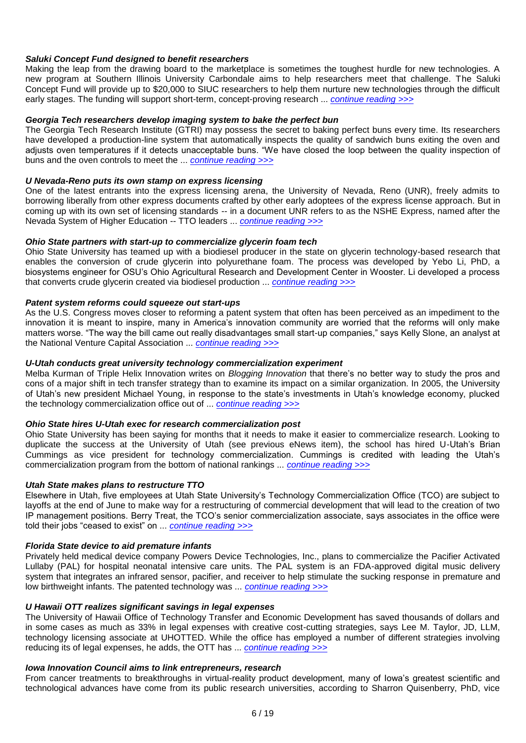## *Saluki Concept Fund designed to benefit researchers*

Making the leap from the drawing board to the marketplace is sometimes the toughest hurdle for new technologies. A new program at Southern Illinois University Carbondale aims to help researchers meet that challenge. The Saluki Concept Fund will provide up to \$20,000 to SIUC researchers to help them nurture new technologies through the difficult early stages. The funding will support short-term, concept-proving research ... *[continue reading >>>](http://www.technologytransfertactics.com/content/2011/03/23/saluki-concept-fund-designed-to-benefit-researchers/)*

## *Georgia Tech researchers develop imaging system to bake the perfect bun*

The Georgia Tech Research Institute (GTRI) may possess the secret to baking perfect buns every time. Its researchers have developed a production-line system that automatically inspects the quality of sandwich buns exiting the oven and adjusts oven temperatures if it detects unacceptable buns. "We have closed the loop between the quality inspection of buns and the oven controls to meet the ... *[continue reading >>>](http://www.technologytransfertactics.com/content/2011/03/23/georgia-tech-researchers-develop-imaging-system-to-bake-the-perfect-bun/)*

### *U Nevada-Reno puts its own stamp on express licensing*

One of the latest entrants into the express licensing arena, the University of Nevada, Reno (UNR), freely admits to borrowing liberally from other express documents crafted by other early adoptees of the express license approach. But in coming up with its own set of licensing standards -- in a document UNR refers to as the NSHE Express, named after the Nevada System of Higher Education -- TTO leaders ... *[continue reading >>>](http://www.technologytransfertactics.com/content/2011/03/23/u-nevada-reno-puts-its-own-stamp-on-express-licensing/)*

## *Ohio State partners with start-up to commercialize glycerin foam tech*

Ohio State University has teamed up with a biodiesel producer in the state on glycerin technology-based research that enables the conversion of crude glycerin into polyurethane foam. The process was developed by Yebo Li, PhD, a biosystems engineer for OSU"s Ohio Agricultural Research and Development Center in Wooster. Li developed a process that converts crude glycerin created via biodiesel production ... *[continue reading >>>](http://www.technologytransfertactics.com/content/2011/03/23/ohio-state-partners-with-start-up-to-commercialize-glycerin-foam-tech/)*

## *Patent system reforms could squeeze out start-ups*

As the U.S. Congress moves closer to reforming a patent system that often has been perceived as an impediment to the innovation it is meant to inspire, many in America's innovation community are worried that the reforms will only make matters worse. "The way the bill came out really disadvantages small start-up companies," says Kelly Slone, an analyst at the National Venture Capital Association ... *[continue reading >>>](http://www.technologytransfertactics.com/content/2011/03/30/patent-system-reforms-could-squeeze-out-start-ups/)*

## *U-Utah conducts great university technology commercialization experiment*

Melba Kurman of Triple Helix Innovation writes on *Blogging Innovation* that there"s no better way to study the pros and cons of a major shift in tech transfer strategy than to examine its impact on a similar organization. In 2005, the University of Utah"s new president Michael Young, in response to the state"s investments in Utah"s knowledge economy, plucked the technology commercialization office out of ... *[continue reading >>>](http://www.technologytransfertactics.com/content/2011/03/30/u-utah-conducts-great-university-technology-commercialization-experiment/)*

### *Ohio State hires U-Utah exec for research commercialization post*

Ohio State University has been saying for months that it needs to make it easier to commercialize research. Looking to duplicate the success at the University of Utah (see previous eNews item), the school has hired U-Utah"s Brian Cummings as vice president for technology commercialization. Cummings is credited with leading the Utah"s commercialization program from the bottom of national rankings ... *[continue reading >>>](http://www.technologytransfertactics.com/content/2011/03/30/ohio-state-hires-u-utah-exec-for-research-commercialization-post/)*

### *Utah State makes plans to restructure TTO*

Elsewhere in Utah, five employees at Utah State University"s Technology Commercialization Office (TCO) are subject to layoffs at the end of June to make way for a restructuring of commercial development that will lead to the creation of two IP management positions. Berry Treat, the TCO"s senior commercialization associate, says associates in the office were told their jobs "ceased to exist" on ... *[continue reading >>>](http://www.technologytransfertactics.com/content/2011/03/30/utah-state-makes-plans-to-restructure-tto/)*

### *Florida State device to aid premature infants*

Privately held medical device company Powers Device Technologies, Inc., plans to commercialize the Pacifier Activated Lullaby (PAL) for hospital neonatal intensive care units. The PAL system is an FDA-approved digital music delivery system that integrates an infrared sensor, pacifier, and receiver to help stimulate the sucking response in premature and low birthweight infants. The patented technology was ... *[continue reading >>>](http://www.technologytransfertactics.com/content/2011/03/30/florida-state-device-to-aid-premature-infants/)*

## *U Hawaii OTT realizes significant savings in legal expenses*

The University of Hawaii Office of Technology Transfer and Economic Development has saved thousands of dollars and in some cases as much as 33% in legal expenses with creative cost-cutting strategies, says Lee M. Taylor, JD, LLM, technology licensing associate at UHOTTED. While the office has employed a number of different strategies involving reducing its of legal expenses, he adds, the OTT has ... *[continue reading >>>](http://www.technologytransfertactics.com/content/2011/03/30/u-hawaii-ott-realizes-significant-savings-in-legal-expenses/)*

## *Iowa Innovation Council aims to link entrepreneurs, research*

From cancer treatments to breakthroughs in virtual-reality product development, many of Iowa"s greatest scientific and technological advances have come from its public research universities, according to Sharron Quisenberry, PhD, vice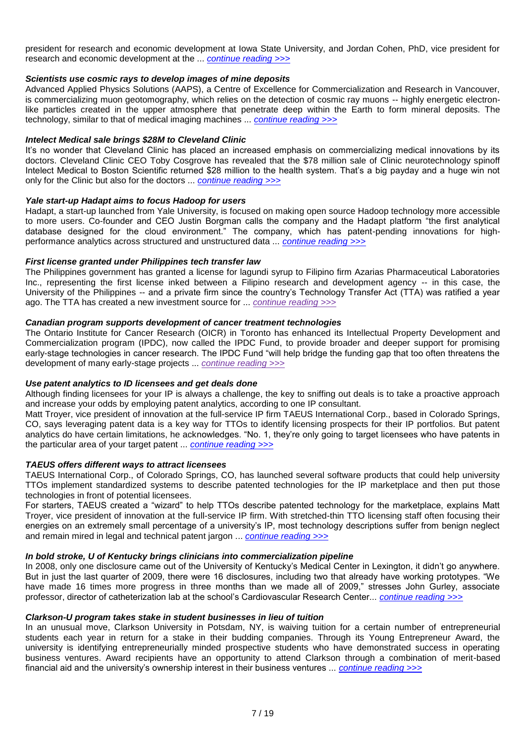president for research and economic development at Iowa State University, and Jordan Cohen, PhD, vice president for research and economic development at the ... *[continue reading >>>](http://www.technologytransfertactics.com/content/2011/03/30/iowa-innovation-council-aims-to-link-entrepreneurs-research/)*

## *Scientists use cosmic rays to develop images of mine deposits*

Advanced Applied Physics Solutions (AAPS), a Centre of Excellence for Commercialization and Research in Vancouver, is commercializing muon geotomography, which relies on the detection of cosmic ray muons -- highly energetic electronlike particles created in the upper atmosphere that penetrate deep within the Earth to form mineral deposits. The technology, similar to that of medical imaging machines ... *[continue reading >>>](http://www.technologytransfertactics.com/content/2011/03/30/scientists-use-cosmic-rays-to-develop-images-of-mine-deposits/)*

## *Intelect Medical sale brings \$28M to Cleveland Clinic*

It's no wonder that Cleveland Clinic has placed an increased emphasis on commercializing medical innovations by its doctors. Cleveland Clinic CEO Toby Cosgrove has revealed that the \$78 million sale of Clinic neurotechnology spinoff Intelect Medical to Boston Scientific returned \$28 million to the health system. That"s a big payday and a huge win not only for the Clinic but also for the doctors ... *[continue reading >>>](http://www.technologytransfertactics.com/content/2011/03/30/intelect-medical-sale-brings-28m-to-cleveland-clinic/)*

### *Yale start-up Hadapt aims to focus Hadoop for users*

Hadapt, a start-up launched from Yale University, is focused on making open source Hadoop technology more accessible to more users. Co-founder and CEO Justin Borgman calls the company and the Hadapt platform "the first analytical database designed for the cloud environment." The company, which has patent-pending innovations for highperformance analytics across structured and unstructured data ... *[continue reading >>>](http://www.technologytransfertactics.com/content/2011/03/30/yale-start-up-hadapt-aims-to-focus-hadoop-for-users/)*

## *First license granted under Philippines tech transfer law*

The Philippines government has granted a license for lagundi syrup to Filipino firm Azarias Pharmaceutical Laboratories Inc., representing the first license inked between a Filipino research and development agency -- in this case, the University of the Philippines -- and a private firm since the country"s Technology Transfer Act (TTA) was ratified a year ago. The TTA has created a new investment source for ... *[continue reading >>>](http://www.technologytransfertactics.com/content/2011/03/30/first-license-granted-under-philippines-tech-transfer-law/)*

# *Canadian program supports development of cancer treatment technologies*

The Ontario Institute for Cancer Research (OICR) in Toronto has enhanced its Intellectual Property Development and Commercialization program (IPDC), now called the IPDC Fund, to provide broader and deeper support for promising early-stage technologies in cancer research. The IPDC Fund "will help bridge the funding gap that too often threatens the development of many early-stage projects ... *[continue reading >>>](http://www.technologytransfertactics.com/content/2011/03/30/canadian-program-supports-development-of-cancer-treatment-technologies/)*

### *Use patent analytics to ID licensees and get deals done*

Although finding licensees for your IP is always a challenge, the key to sniffing out deals is to take a proactive approach and increase your odds by employing patent analytics, according to one IP consultant.

Matt Troyer, vice president of innovation at the full-service IP firm TAEUS International Corp., based in Colorado Springs, CO, says leveraging patent data is a key way for TTOs to identify licensing prospects for their IP portfolios. But patent analytics do have certain limitations, he acknowledges. "No. 1, they"re only going to target licensees who have patents in the particular area of your target patent ... *[continue reading >>>](http://www.technologytransfertactics.com/content/2011/05/04/use-patent-analytics-to-id-licensees-and-get-deals-done-2/)*

### *TAEUS offers different ways to attract licensees*

TAEUS International Corp., of Colorado Springs, CO, has launched several software products that could help university TTOs implement standardized systems to describe patented technologies for the IP marketplace and then put those technologies in front of potential licensees.

For starters, TAEUS created a "wizard" to help TTOs describe patented technology for the marketplace, explains Matt Troyer, vice president of innovation at the full-service IP firm. With stretched-thin TTO licensing staff often focusing their energies on an extremely small percentage of a university's IP, most technology descriptions suffer from benign neglect and remain mired in legal and technical patent jargon ... *[continue reading >>>](http://www.technologytransfertactics.com/content/2011/05/04/taeus-offers-different-ways-to-attract-licensees/)*

## *In bold stroke, U of Kentucky brings clinicians into commercialization pipeline*

In 2008, only one disclosure came out of the University of Kentucky"s Medical Center in Lexington, it didn"t go anywhere. But in just the last quarter of 2009, there were 16 disclosures, including two that already have working prototypes. "We have made 16 times more progress in three months than we made all of 2009," stresses John Gurley, associate professor, director of catheterization lab at the school"s Cardiovascular Research Center... *[continue reading >>>](http://www.technologytransfertactics.com/content/2011/05/04/in-bold-stroke-u-of-kentucky-brings-clinicians-into-commercialization-pipeline/)*

### *Clarkson-U program takes stake in student businesses in lieu of tuition*

In an unusual move, Clarkson University in Potsdam, NY, is waiving tuition for a certain number of entrepreneurial students each year in return for a stake in their budding companies. Through its Young Entrepreneur Award, the university is identifying entrepreneurially minded prospective students who have demonstrated success in operating business ventures. Award recipients have an opportunity to attend Clarkson through a combination of merit-based financial aid and the university"s ownership interest in their business ventures ... *[continue reading >>>](http://www.technologytransfertactics.com/content/2011/05/04/clarkson-u-program-takes-stake-in-student-businesses-in-lieu-of-tuition/)*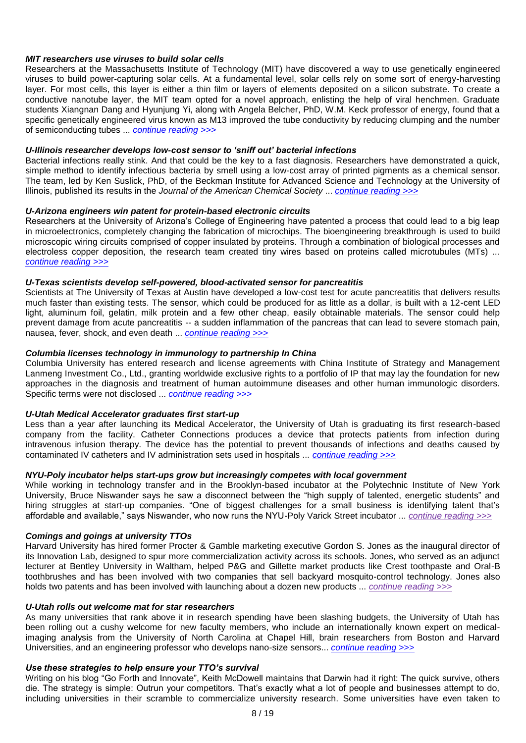## *MIT researchers use viruses to build solar cells*

Researchers at the Massachusetts Institute of Technology (MIT) have discovered a way to use genetically engineered viruses to build power-capturing solar cells. At a fundamental level, solar cells rely on some sort of energy-harvesting layer. For most cells, this layer is either a thin film or layers of elements deposited on a silicon substrate. To create a conductive nanotube layer, the MIT team opted for a novel approach, enlisting the help of viral henchmen. Graduate students Xiangnan Dang and Hyunjung Yi, along with Angela Belcher, PhD, W.M. Keck professor of energy, found that a specific genetically engineered virus known as M13 improved the tube conductivity by reducing clumping and the number of semiconducting tubes ... *[continue reading >>>](http://www.technologytransfertactics.com/content/2011/05/04/mit-researchers-use-viruses-to-build-solar-cells/)*

### *U-Illinois researcher develops low-cost sensor to "sniff out" bacterial infections*

Bacterial infections really stink. And that could be the key to a fast diagnosis. Researchers have demonstrated a quick, simple method to identify infectious bacteria by smell using a low-cost array of printed pigments as a chemical sensor. The team, led by Ken Suslick, PhD, of the Beckman Institute for Advanced Science and Technology at the University of Illinois, published its results in the *Journal of the American Chemical Society* ... *[continue reading >>>](http://www.technologytransfertactics.com/content/2011/05/04/u-illinois-researcher-develops-low-cost-sensor-to-%e2%80%98sniff-out%e2%80%99-bacterial-infections/)*

## *U-Arizona engineers win patent for protein-based electronic circuits*

Researchers at the University of Arizona"s College of Engineering have patented a process that could lead to a big leap in microelectronics, completely changing the fabrication of microchips. The bioengineering breakthrough is used to build microscopic wiring circuits comprised of copper insulated by proteins. Through a combination of biological processes and electroless copper deposition, the research team created tiny wires based on proteins called microtubules (MTs) ... *[continue reading >>>](http://www.technologytransfertactics.com/content/2011/05/04/u-arizona-engineers-win-patent-for-protein-based-electronic-circuits/)*

### *U-Texas scientists develop self-powered, blood-activated sensor for pancreatitis*

Scientists at The University of Texas at Austin have developed a low-cost test for acute pancreatitis that delivers results much faster than existing tests. The sensor, which could be produced for as little as a dollar, is built with a 12-cent LED light, aluminum foil, gelatin, milk protein and a few other cheap, easily obtainable materials. The sensor could help prevent damage from acute pancreatitis -- a sudden inflammation of the pancreas that can lead to severe stomach pain, nausea, fever, shock, and even death ... *[continue reading >>>](http://www.technologytransfertactics.com/content/2011/05/04/u-texas-scientists-develop-self-powered-blood-activated-sensor-for-pancreatitis/)*

## *Columbia licenses technology in immunology to partnership In China*

Columbia University has entered research and license agreements with China Institute of Strategy and Management Lanmeng Investment Co., Ltd., granting worldwide exclusive rights to a portfolio of IP that may lay the foundation for new approaches in the diagnosis and treatment of human autoimmune diseases and other human immunologic disorders. Specific terms were not disclosed ... *[continue reading >>>](http://www.technologytransfertactics.com/content/2011/05/04/columbia-licenses-technology-in-immunology-to-partnership-in-china/)*

# *U-Utah Medical Accelerator graduates first start-up*

Less than a year after launching its Medical Accelerator, the University of Utah is graduating its first research-based company from the facility. Catheter Connections produces a device that protects patients from infection during intravenous infusion therapy. The device has the potential to prevent thousands of infections and deaths caused by contaminated IV catheters and IV administration sets used in hospitals ... *[continue reading >>>](http://www.technologytransfertactics.com/content/2011/05/04/u-utah-medical-accelerator-graduates-first-start-up/)*

### *NYU-Poly incubator helps start-ups grow but increasingly competes with local government*

While working in technology transfer and in the Brooklyn-based incubator at the Polytechnic Institute of New York University, Bruce Niswander says he saw a disconnect between the "high supply of talented, energetic students" and hiring struggles at start-up companies. "One of biggest challenges for a small business is identifying talent that"s affordable and available," says Niswander, who now runs the NYU-Poly Varick Street incubator ... *[continue reading >>>](http://www.technologytransfertactics.com/content/2011/05/04/nyu-poly-incubator-helps-start-ups-grow-but-increasingly-competes-with-local-government/)*

## *Comings and goings at university TTOs*

Harvard University has hired former Procter & Gamble marketing executive Gordon S. Jones as the inaugural director of its Innovation Lab, designed to spur more commercialization activity across its schools. Jones, who served as an adjunct lecturer at Bentley University in Waltham, helped P&G and Gillette market products like Crest toothpaste and Oral-B toothbrushes and has been involved with two companies that sell backyard mosquito-control technology. Jones also holds two patents and has been involved with launching about a dozen new products ... *[continue reading >>>](http://www.technologytransfertactics.com/content/2011/05/04/comings-and-goings-at-university-ttos/)*

## *U-Utah rolls out welcome mat for star researchers*

As many universities that rank above it in research spending have been slashing budgets, the University of Utah has been rolling out a cushy welcome for new faculty members, who include an internationally known expert on medicalimaging analysis from the University of North Carolina at Chapel Hill, brain researchers from Boston and Harvard Universities, and an engineering professor who develops nano-size sensors... *[continue reading >>>](http://www.technologytransfertactics.com/content/2011/05/11/u-utah-rolls-out-welcome-mat-for-star-researchers/)*

# *Use these strategies to help ensure your TTO"s survival*

Writing on his blog "Go Forth and Innovate", Keith McDowell maintains that Darwin had it right: The quick survive, others die. The strategy is simple: Outrun your competitors. That's exactly what a lot of people and businesses attempt to do, including universities in their scramble to commercialize university research. Some universities have even taken to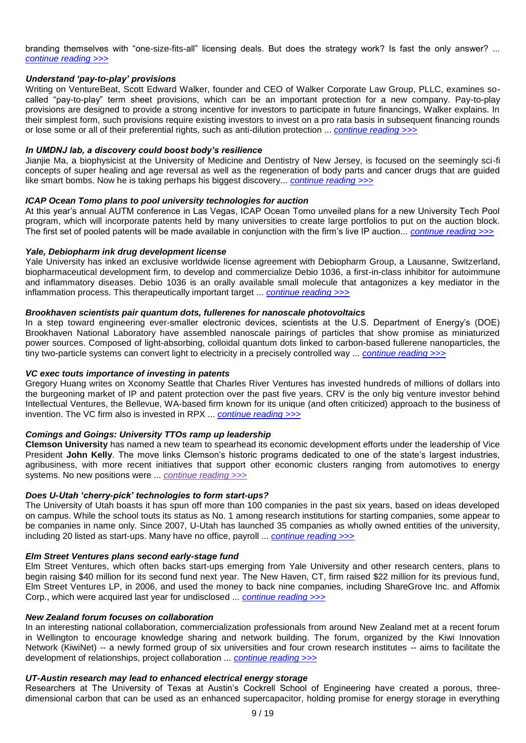branding themselves with "one-size-fits-all" licensing deals. But does the strategy work? Is fast the only answer? ... *[continue reading >>>](http://www.technologytransfertactics.com/content/2011/05/11/use-these-strategies-to-help-ensure-your-ttos-survival/)*

## *Understand "pay-to-play" provisions*

Writing on VentureBeat, Scott Edward Walker, founder and CEO of Walker Corporate Law Group, PLLC, examines socalled "pay-to-play" term sheet provisions, which can be an important protection for a new company. Pay-to-play provisions are designed to provide a strong incentive for investors to participate in future financings, Walker explains. In their simplest form, such provisions require existing investors to invest on a pro rata basis in subsequent financing rounds or lose some or all of their preferential rights, such as anti-dilution protection ... *[continue reading >>>](http://www.technologytransfertactics.com/content/2011/05/11/understand-pay-to-play-provisions/)*

### *In UMDNJ lab, a discovery could boost body"s resilience*

Jianjie Ma, a biophysicist at the University of Medicine and Dentistry of New Jersey, is focused on the seemingly sci-fi concepts of super healing and age reversal as well as the regeneration of body parts and cancer drugs that are guided like smart bombs. Now he is taking perhaps his biggest discovery... *continue reading*  $\gg$ 

### *ICAP Ocean Tomo plans to pool university technologies for auction*

At this year"s annual AUTM conference in Las Vegas, ICAP Ocean Tomo unveiled plans for a new University Tech Pool program, which will incorporate patents held by many universities to create large portfolios to put on the auction block. The first set of pooled patents will be made available in conjunction with the firm"s live IP auction... *[continue reading >>>](http://www.technologytransfertactics.com/content/2011/05/11/icap-ocean-tomo-plans-to-pool-university-technologies-for-auction/)*

#### *Yale, Debiopharm ink drug development license*

Yale University has inked an exclusive worldwide license agreement with Debiopharm Group, a Lausanne, Switzerland, biopharmaceutical development firm, to develop and commercialize Debio 1036, a first-in-class inhibitor for autoimmune and inflammatory diseases. Debio 1036 is an orally available small molecule that antagonizes a key mediator in the inflammation process. This therapeutically important target ... *[continue reading >>>](http://www.technologytransfertactics.com/content/2011/05/11/yale-debiopharm-ink-drug-development-license/)*

### *Brookhaven scientists pair quantum dots, fullerenes for nanoscale photovoltaics*

In a step toward engineering ever-smaller electronic devices, scientists at the U.S. Department of Energy's (DOE) Brookhaven National Laboratory have assembled nanoscale pairings of particles that show promise as miniaturized power sources. Composed of light-absorbing, colloidal quantum dots linked to carbon-based fullerene nanoparticles, the tiny two-particle systems can convert light to electricity in a precisely controlled way ... *[continue reading >>>](http://www.technologytransfertactics.com/content/2011/05/11/brookhaven-scientists-pair-quantum-dots-fullerenes-for-nanoscale-photovoltaics/)*

### *VC exec touts importance of investing in patents*

Gregory Huang writes on Xconomy Seattle that Charles River Ventures has invested hundreds of millions of dollars into the burgeoning market of IP and patent protection over the past five years. CRV is the only big venture investor behind Intellectual Ventures, the Bellevue, WA-based firm known for its unique (and often criticized) approach to the business of invention. The VC firm also is invested in RPX ... *[continue reading >>>](http://www.technologytransfertactics.com/content/2011/05/11/vc-exec-touts-importance-of-investing-in-patents/)*

## *Comings and Goings: University TTOs ramp up leadership*

**Clemson University** has named a new team to spearhead its economic development efforts under the leadership of Vice President **John Kelly**. The move links Clemson's historic programs dedicated to one of the state's largest industries, agribusiness, with more recent initiatives that support other economic clusters ranging from automotives to energy systems. No new positions were ... *[continue reading >>>](http://www.technologytransfertactics.com/content/2011/05/11/comings-and-goings-university-ttos-ramp-up-leadership/)*

### *Does U-Utah "cherry-pick" technologies to form start-ups?*

The University of Utah boasts it has spun off more than 100 companies in the past six years, based on ideas developed on campus. While the school touts its status as No. 1 among research institutions for starting companies, some appear to be companies in name only. Since 2007, U-Utah has launched 35 companies as wholly owned entities of the university, including 20 listed as start-ups. Many have no office, payroll ... *[continue reading >>>](http://www.technologytransfertactics.com/content/2011/05/18/does-u-utah-%e2%80%98cherry-pick%e2%80%99-technologies-to-form-start-ups/)*

#### *Elm Street Ventures plans second early-stage fund*

Elm Street Ventures, which often backs start-ups emerging from Yale University and other research centers, plans to begin raising \$40 million for its second fund next year. The New Haven, CT, firm raised \$22 million for its previous fund, Elm Street Ventures LP, in 2006, and used the money to back nine companies, including ShareGrove Inc. and Affomix Corp., which were acquired last year for undisclosed ... *[continue reading >>>](http://www.technologytransfertactics.com/content/2011/05/18/elm-street-ventures-plans-second-early-stage-fund/)*

#### *New Zealand forum focuses on collaboration*

In an interesting national collaboration, commercialization professionals from around New Zealand met at a recent forum in Wellington to encourage knowledge sharing and network building. The forum, organized by the Kiwi Innovation Network (KiwiNet) -- a newly formed group of six universities and four crown research institutes -- aims to facilitate the development of relationships, project collaboration ... *[continue reading >>>](http://www.technologytransfertactics.com/content/2011/05/18/new-zealand-forum-focuses-on-collaboration/)*

## *UT-Austin research may lead to enhanced electrical energy storage*

Researchers at The University of Texas at Austin"s Cockrell School of Engineering have created a porous, threedimensional carbon that can be used as an enhanced supercapacitor, holding promise for energy storage in everything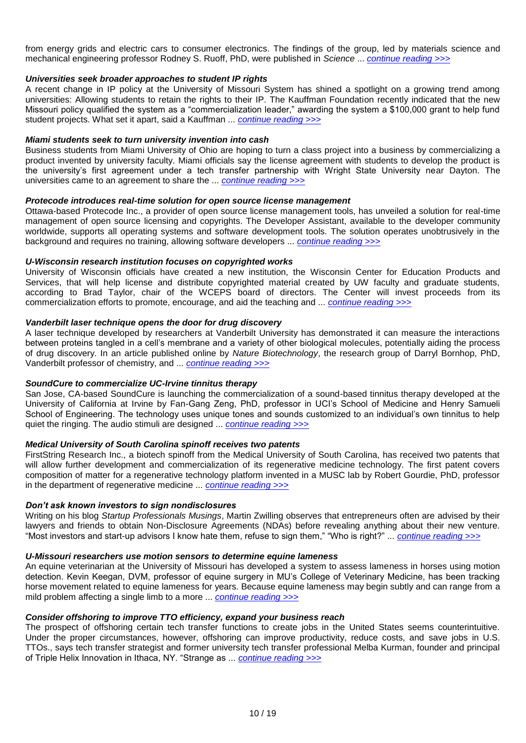from energy grids and electric cars to consumer electronics. The findings of the group, led by materials science and mechanical engineering professor Rodney S. Ruoff, PhD, were published in *Science* ... *[continue reading >>>](http://www.technologytransfertactics.com/content/2011/05/18/ut-austin-research-may-lead-to-enhanced-electrical-energy-storage/)*

## *Universities seek broader approaches to student IP rights*

A recent change in IP policy at the University of Missouri System has shined a spotlight on a growing trend among universities: Allowing students to retain the rights to their IP. The Kauffman Foundation recently indicated that the new Missouri policy qualified the system as a "commercialization leader," awarding the system a \$100,000 grant to help fund student projects. What set it apart, said a Kauffman ... *[continue reading >>>](http://www.technologytransfertactics.com/content/2011/05/18/universities-seek-broader-approaches-to-student-ip-rights/)*

### *Miami students seek to turn university invention into cash*

Business students from Miami University of Ohio are hoping to turn a class project into a business by commercializing a product invented by university faculty. Miami officials say the license agreement with students to develop the product is the university"s first agreement under a tech transfer partnership with Wright State University near Dayton. The universities came to an agreement to share the ... *[continue reading >>>](http://www.technologytransfertactics.com/content/2011/05/18/miami-students-seek-to-turn-university-invention-into-cash/)*

### *Protecode introduces real-time solution for open source license management*

Ottawa-based Protecode Inc., a provider of open source license management tools, has unveiled a solution for real-time management of open source licensing and copyrights. The Developer Assistant, available to the developer community worldwide, supports all operating systems and software development tools. The solution operates unobtrusively in the background and requires no training, allowing software developers ... *[continue reading >>>](http://www.technologytransfertactics.com/content/2011/05/18/protecode-introduces-real-time-solution-for-open-source-license-management/)*

## *U-Wisconsin research institution focuses on copyrighted works*

University of Wisconsin officials have created a new institution, the Wisconsin Center for Education Products and Services, that will help license and distribute copyrighted material created by UW faculty and graduate students, according to Brad Taylor, chair of the WCEPS board of directors. The Center will invest proceeds from its commercialization efforts to promote, encourage, and aid the teaching and ... *[continue reading >>>](http://www.technologytransfertactics.com/content/2011/04/06/u-wisconsin-research-institution-protects-student-learning-tools/)*

# *Vanderbilt laser technique opens the door for drug discovery*

A laser technique developed by researchers at Vanderbilt University has demonstrated it can measure the interactions between proteins tangled in a cell"s membrane and a variety of other biological molecules, potentially aiding the process of drug discovery. In an article published online by *Nature Biotechnology*, the research group of Darryl Bornhop, PhD, Vanderbilt professor of chemistry, and ... *[continue reading >>>](http://www.technologytransfertactics.com/content/2011/04/06/vanderbilt-laser-technique-opens-the-door-for-drug-discovery/)*

### *SoundCure to commercialize UC-Irvine tinnitus therapy*

San Jose, CA-based SoundCure is launching the commercialization of a sound-based tinnitus therapy developed at the University of California at Irvine by Fan-Gang Zeng, PhD, professor in UCI"s School of Medicine and Henry Samueli School of Engineering. The technology uses unique tones and sounds customized to an individual's own tinnitus to help quiet the ringing. The audio stimuli are designed ... *[continue reading >>>](http://www.technologytransfertactics.com/content/2011/04/06/soundcure-to-commercialize-uc-irvine-tinnitus-therapy/)*

### *Medical University of South Carolina spinoff receives two patents*

FirstString Research Inc., a biotech spinoff from the Medical University of South Carolina, has received two patents that will allow further development and commercialization of its regenerative medicine technology. The first patent covers composition of matter for a regenerative technology platform invented in a MUSC lab by Robert Gourdie, PhD, professor in the department of regenerative medicine ... *[continue reading >>>](http://www.technologytransfertactics.com/content/2011/04/06/medical-university-of-south-carolina-spinoff-receives-two-patents/)*

### *Don"t ask known investors to sign nondisclosures*

Writing on his blog *Startup Professionals Musings*, Martin Zwilling observes that entrepreneurs often are advised by their lawyers and friends to obtain Non-Disclosure Agreements (NDAs) before revealing anything about their new venture. "Most investors and start-up advisors I know hate them, refuse to sign them," "Who is right?" ... *[continue reading >>>](http://www.technologytransfertactics.com/content/2011/04/06/don%e2%80%99t-ask-known-investors-to-sign-nondisclosures/)*

### *U-Missouri researchers use motion sensors to determine equine lameness*

An equine veterinarian at the University of Missouri has developed a system to assess lameness in horses using motion detection. Kevin Keegan, DVM, professor of equine surgery in MU"s College of Veterinary Medicine, has been tracking horse movement related to equine lameness for years. Because equine lameness may begin subtly and can range from a mild problem affecting a single limb to a more ... *[continue reading >>>](http://www.technologytransfertactics.com/content/2011/04/06/u-missouri-researchers-use-motion-sensors-to-determine-equine-lameness/)*

### *Consider offshoring to improve TTO efficiency, expand your business reach*

The prospect of offshoring certain tech transfer functions to create jobs in the United States seems counterintuitive. Under the proper circumstances, however, offshoring can improve productivity, reduce costs, and save jobs in U.S. TTOs., says tech transfer strategist and former university tech transfer professional Melba Kurman, founder and principal of Triple Helix Innovation in Ithaca, NY. "Strange as ... *[continue reading >>>](http://www.technologytransfertactics.com/content/2011/04/06/consider-offshoring-to-improve-tto-efficiency-expand-your-business-reach/)*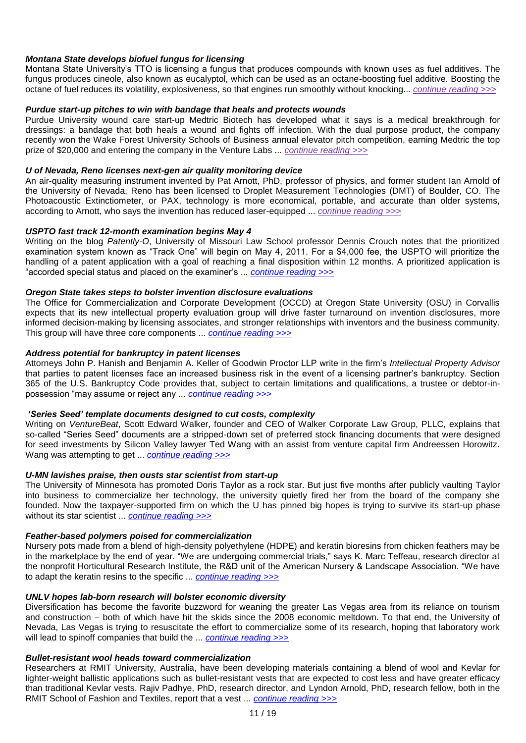Montana State University's TTO is licensing a fungus that produces compounds with known uses as fuel additives. The fungus produces cineole, also known as eucalyptol, which can be used as an octane-boosting fuel additive. Boosting the octane of fuel reduces its volatility, explosiveness, so that engines run smoothly without knocking... *[continue reading >>>](http://www.technologytransfertactics.com/content/2011/04/06/montana-state-develops-biofuel-fungus-for-licensing/)*

## *Purdue start-up pitches to win with bandage that heals and protects wounds*

Purdue University wound care start-up Medtric Biotech has developed what it says is a medical breakthrough for dressings: a bandage that both heals a wound and fights off infection. With the dual purpose product, the company recently won the Wake Forest University Schools of Business annual elevator pitch competition, earning Medtric the top prize of \$20,000 and entering the company in the Venture Labs ... *[continue reading >>>](http://www.technologytransfertactics.com/content/2011/04/06/purdue-start-up-pitches-to-win-with-bandage-that-heals-and-protects-wounds/)*

## *U of Nevada, Reno licenses next-gen air quality monitoring device*

An air-quality measuring instrument invented by Pat Arnott, PhD, professor of physics, and former student Ian Arnold of the University of Nevada, Reno has been licensed to Droplet Measurement Technologies (DMT) of Boulder, CO. The Photoacoustic Extinctiometer, or PAX, technology is more economical, portable, and accurate than older systems, according to Arnott, who says the invention has reduced laser-equipped ... *[continue reading >>>](http://www.technologytransfertactics.com/content/2011/04/06/u-of-nevada-reno-licenses-next-gen-air-quality-monitoring-device/)*

## *USPTO fast track 12-month examination begins May 4*

Writing on the blog *Patently-O*, University of Missouri Law School professor Dennis Crouch notes that the prioritized examination system known as "Track One" will begin on May 4, 2011. For a \$4,000 fee, the USPTO will prioritize the handling of a patent application with a goal of reaching a final disposition within 12 months. A prioritized application is "accorded special status and placed on the examiner"s ... *[continue reading >>>](http://www.technologytransfertactics.com/content/2011/04/13/uspto-fast-track-12-month-examination-begins-may-4/)*

## *Oregon State takes steps to bolster invention disclosure evaluations*

The Office for Commercialization and Corporate Development (OCCD) at Oregon State University (OSU) in Corvallis expects that its new intellectual property evaluation group will drive faster turnaround on invention disclosures, more informed decision-making by licensing associates, and stronger relationships with inventors and the business community. This group will have three core components ... *[continue reading >>>](http://www.technologytransfertactics.com/content/2011/04/13/oregon-state-takes-steps-to-bolster-invention-disclosure-evaluations/)*

## *Address potential for bankruptcy in patent licenses*

Attorneys John P. Hanish and Benjamin A. Keller of Goodwin Proctor LLP write in the firm"s *Intellectual Property Advisor* that parties to patent licenses face an increased business risk in the event of a licensing partner"s bankruptcy. Section 365 of the U.S. Bankruptcy Code provides that, subject to certain limitations and qualifications, a trustee or debtor-inpossession "may assume or reject any ... *[continue reading >>>](http://www.technologytransfertactics.com/content/2011/04/13/address-potential-for-bankruptcy-in-patent-licenses/)*

## *"Series Seed" template documents designed to cut costs, complexity*

Writing on *VentureBeat*, Scott Edward Walker, founder and CEO of Walker Corporate Law Group, PLLC, explains that so-called "Series Seed" documents are a stripped-down set of preferred stock financing documents that were designed for seed investments by Silicon Valley lawyer Ted Wang with an assist from venture capital firm Andreessen Horowitz. Wang was attempting to get ... *[continue reading >>>](http://www.technologytransfertactics.com/content/2011/04/13/%e2%80%98series-seed%e2%80%99-template-documents-designed-to-cut-costs-complexity/)*

### *U-MN lavishes praise, then ousts star scientist from start-up*

The University of Minnesota has promoted Doris Taylor as a rock star. But just five months after publicly vaulting Taylor into business to commercialize her technology, the university quietly fired her from the board of the company she founded. Now the taxpayer-supported firm on which the U has pinned big hopes is trying to survive its start-up phase without its star scientist ... *[continue reading >>>](http://www.technologytransfertactics.com/content/2011/04/13/u-mn-lavishes-praise-then-ousts-star-scientist-from-start-up/)*

## *Feather-based polymers poised for commercialization*

Nursery pots made from a blend of high-density polyethylene (HDPE) and keratin bioresins from chicken feathers may be in the marketplace by the end of year. "We are undergoing commercial trials," says K. Marc Teffeau, research director at the nonprofit Horticultural Research Institute, the R&D unit of the American Nursery & Landscape Association. "We have to adapt the keratin resins to the specific ... *[continue reading >>>](http://www.technologytransfertactics.com/content/2011/04/13/feather-based-polymers-poised-for-commercialization/)*

### *UNLV hopes lab-born research will bolster economic diversity*

Diversification has become the favorite buzzword for weaning the greater Las Vegas area from its reliance on tourism and construction – both of which have hit the skids since the 2008 economic meltdown. To that end, the University of Nevada, Las Vegas is trying to resuscitate the effort to commercialize some of its research, hoping that laboratory work will lead to spinoff companies that build the ... *[continue reading >>>](http://www.technologytransfertactics.com/content/2011/04/13/unlv-hopes-lab-born-research-will-bolster-economic-diversity/)*

### *Bullet-resistant wool heads toward commercialization*

Researchers at RMIT University, Australia, have been developing materials containing a blend of wool and Kevlar for lighter-weight ballistic applications such as bullet-resistant vests that are expected to cost less and have greater efficacy than traditional Kevlar vests. Rajiv Padhye, PhD, research director, and Lyndon Arnold, PhD, research fellow, both in the RMIT School of Fashion and Textiles, report that a vest ... *[continue reading >>>](http://www.technologytransfertactics.com/content/2011/04/13/bullet-resistant-wool-heads-toward-commercialization/)*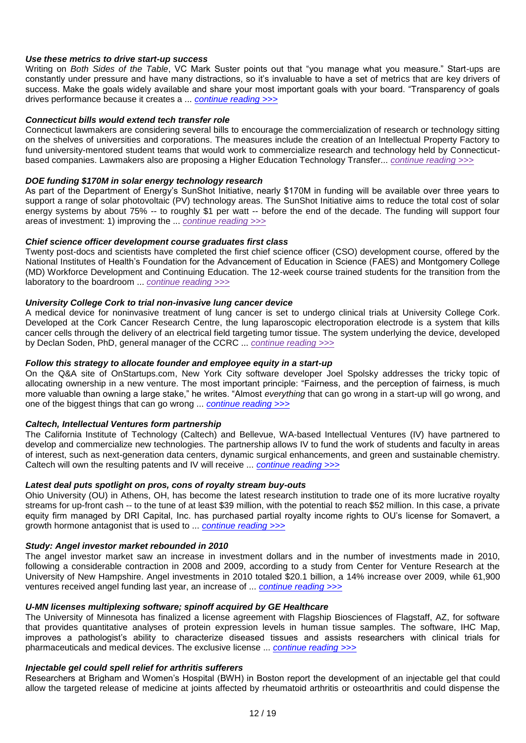## *Use these metrics to drive start-up success*

Writing on *Both Sides of the Table*, VC Mark Suster points out that "you manage what you measure." Start-ups are constantly under pressure and have many distractions, so it"s invaluable to have a set of metrics that are key drivers of success. Make the goals widely available and share your most important goals with your board. "Transparency of goals drives performance because it creates a ... *[continue reading >>>](http://www.technologytransfertactics.com/content/2011/04/13/use-these-metrics-to-drive-start-up-success/)*

## *Connecticut bills would extend tech transfer role*

Connecticut lawmakers are considering several bills to encourage the commercialization of research or technology sitting on the shelves of universities and corporations. The measures include the creation of an Intellectual Property Factory to fund university-mentored student teams that would work to commercialize research and technology held by Connecticutbased companies. Lawmakers also are proposing a Higher Education Technology Transfer... *[continue reading >>>](http://www.technologytransfertactics.com/content/2011/04/13/connecticut-bills-would-extend-tech-transfer-role/)*

### *DOE funding \$170M in solar energy technology research*

As part of the Department of Energy"s SunShot Initiative, nearly \$170M in funding will be available over three years to support a range of solar photovoltaic (PV) technology areas. The SunShot Initiative aims to reduce the total cost of solar energy systems by about 75% -- to roughly \$1 per watt -- before the end of the decade. The funding will support four areas of investment: 1) improving the ... *[continue reading >>>](http://www.technologytransfertactics.com/content/2011/04/13/doe-funding-170m-in-solar-energy-technology-research/)*

## *Chief science officer development course graduates first class*

Twenty post-docs and scientists have completed the first chief science officer (CSO) development course, offered by the National Institutes of Health"s Foundation for the Advancement of Education in Science (FAES) and Montgomery College (MD) Workforce Development and Continuing Education. The 12-week course trained students for the transition from the laboratory to the boardroom ... *[continue reading >>>](http://www.technologytransfertactics.com/content/2011/04/13/chief-science-officer-development-course-graduates-first-class/)*

## *University College Cork to trial non-invasive lung cancer device*

A medical device for noninvasive treatment of lung cancer is set to undergo clinical trials at University College Cork. Developed at the Cork Cancer Research Centre, the lung laparoscopic electroporation electrode is a system that kills cancer cells through the delivery of an electrical field targeting tumor tissue. The system underlying the device, developed by Declan Soden, PhD, general manager of the CCRC ... *[continue reading >>>](http://www.technologytransfertactics.com/content/2011/04/13/university-college-cork-to-trial-non-invasive-lung-cancer-device/)*

## *Follow this strategy to allocate founder and employee equity in a start-up*

On the Q&A site of OnStartups.com, New York City software developer Joel Spolsky addresses the tricky topic of allocating ownership in a new venture. The most important principle: "Fairness, and the perception of fairness, is much more valuable than owning a large stake," he writes. "Almost *everything* that can go wrong in a start-up will go wrong, and one of the biggest things that can go wrong ... *[continue reading >>>](http://www.technologytransfertactics.com/content/2011/04/20/follow-this-strategy-to-allocate-founder-and-employee-equity-in-a-start-up/)*

# *Caltech, Intellectual Ventures form partnership*

The California Institute of Technology (Caltech) and Bellevue, WA-based Intellectual Ventures (IV) have partnered to develop and commercialize new technologies. The partnership allows IV to fund the work of students and faculty in areas of interest, such as next-generation data centers, dynamic surgical enhancements, and green and sustainable chemistry. Caltech will own the resulting patents and IV will receive ... *[continue reading >>>](http://www.technologytransfertactics.com/content/2011/04/20/caltech-intellectual-ventures-form-partnership/)*

# *Latest deal puts spotlight on pros, cons of royalty stream buy-outs*

Ohio University (OU) in Athens, OH, has become the latest research institution to trade one of its more lucrative royalty streams for up-front cash -- to the tune of at least \$39 million, with the potential to reach \$52 million. In this case, a private equity firm managed by DRI Capital, Inc. has purchased partial royalty income rights to OU"s license for Somavert, a growth hormone antagonist that is used to ... *[continue reading >>>](http://www.technologytransfertactics.com/content/2011/04/20/latest-deal-puts-spotlight-on-pros-cons-of-royalty-stream-buy-outs/)*

# *Study: Angel investor market rebounded in 2010*

The angel investor market saw an increase in investment dollars and in the number of investments made in 2010, following a considerable contraction in 2008 and 2009, according to a study from Center for Venture Research at the University of New Hampshire. Angel investments in 2010 totaled \$20.1 billion, a 14% increase over 2009, while 61,900 ventures received angel funding last year, an increase of ... *[continue reading >>>](http://www.technologytransfertactics.com/content/2011/04/20/study-angel-investor-market-rebounded-in-2010/)*

# *U-MN licenses multiplexing software; spinoff acquired by GE Healthcare*

The University of Minnesota has finalized a license agreement with Flagship Biosciences of Flagstaff, AZ, for software that provides quantitative analyses of protein expression levels in human tissue samples. The software, IHC Map, improves a pathologist's ability to characterize diseased tissues and assists researchers with clinical trials for pharmaceuticals and medical devices. The exclusive license ... *[continue reading >>>](http://www.technologytransfertactics.com/content/2011/04/20/u-mn-licenses-multiplexing-software-spinoff-acquired-by-ge-healthcare/)*

### *Injectable gel could spell relief for arthritis sufferers*

Researchers at Brigham and Women"s Hospital (BWH) in Boston report the development of an injectable gel that could allow the targeted release of medicine at joints affected by rheumatoid arthritis or osteoarthritis and could dispense the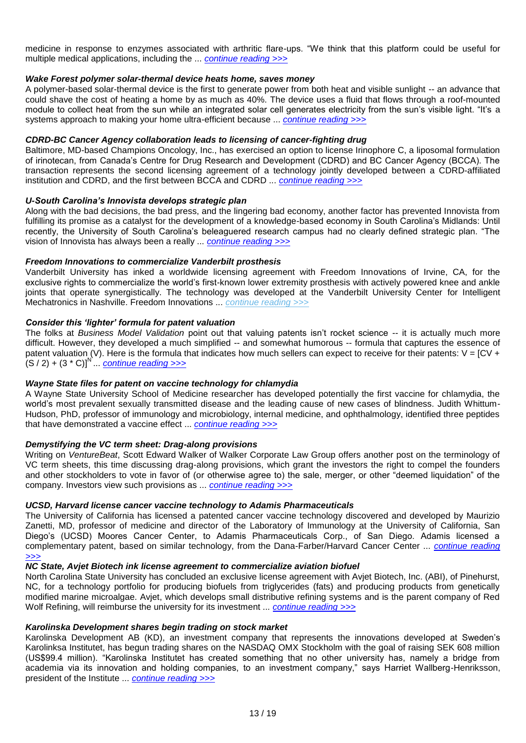medicine in response to enzymes associated with arthritic flare-ups. "We think that this platform could be useful for multiple medical applications, including the ... *[continue reading >>>](http://www.technologytransfertactics.com/content/2011/04/20/injectable-gel-could-spell-relief-for-arthritis-sufferers/)*

## *Wake Forest polymer solar-thermal device heats home, saves money*

A polymer-based solar-thermal device is the first to generate power from both heat and visible sunlight -- an advance that could shave the cost of heating a home by as much as 40%. The device uses a fluid that flows through a roof-mounted module to collect heat from the sun while an integrated solar cell generates electricity from the sun"s visible light. "It"s a systems approach to making your home ultra-efficient because ... *[continue reading >>>](http://www.technologytransfertactics.com/content/2011/04/20/wake-forest-polymer-solar-thermal-device-heats-home-saves-money/)*

# *CDRD-BC Cancer Agency collaboration leads to licensing of cancer-fighting drug*

Baltimore, MD-based Champions Oncology, Inc., has exercised an option to license Irinophore C, a liposomal formulation of irinotecan, from Canada"s Centre for Drug Research and Development (CDRD) and BC Cancer Agency (BCCA). The transaction represents the second licensing agreement of a technology jointly developed between a CDRD-affiliated institution and CDRD, and the first between BCCA and CDRD ... *[continue reading >>>](http://www.technologytransfertactics.com/content/2011/04/20/cdrd-bc-cancer-agency-collaboration-leads-to-licensing-of-cancer-fighting-drug/)*

### *U-South Carolina"s Innovista develops strategic plan*

Along with the bad decisions, the bad press, and the lingering bad economy, another factor has prevented Innovista from fulfilling its promise as a catalyst for the development of a knowledge-based economy in South Carolina's Midlands: Until recently, the University of South Carolina's beleaguered research campus had no clearly defined strategic plan. "The vision of Innovista has always been a really ... *[continue reading >>>](http://www.technologytransfertactics.com/content/2011/04/20/u-south-carolina%e2%80%99s-innovista-develops-strategic-plan/)*

## *Freedom Innovations to commercialize Vanderbilt prosthesis*

Vanderbilt University has inked a worldwide licensing agreement with Freedom Innovations of Irvine, CA, for the exclusive rights to commercialize the world"s first-known lower extremity prosthesis with actively powered knee and ankle joints that operate synergistically. The technology was developed at the Vanderbilt University Center for Intelligent Mechatronics in Nashville. Freedom Innovations ... *[continue reading >>>](http://www.technologytransfertactics.com/content/2011/04/20/freedom-innovations-to-commercialize-vanderbilt-prosthesis/)*

## *Consider this "lighter" formula for patent valuation*

The folks at *Business Model Validation* point out that valuing patents isn"t rocket science -- it is actually much more difficult. However, they developed a much simplified -- and somewhat humorous -- formula that captures the essence of patent valuation (V). Here is the formula that indicates how much sellers can expect to receive for their patents:  $V = [CV +]$ (S / 2) + (3 \* C)]<sup>N`</sup>...<sup>'</sup> <u>[continue reading >>>](http://www.technologytransfertactics.com/content/2011/04/27/consider-this-%e2%80%98lighter%e2%80%99-formula-for-patent-valuation/)</u>

### *Wayne State files for patent on vaccine technology for chlamydia*

A Wayne State University School of Medicine researcher has developed potentially the first vaccine for chlamydia, the world"s most prevalent sexually transmitted disease and the leading cause of new cases of blindness. Judith Whittum-Hudson, PhD, professor of immunology and microbiology, internal medicine, and ophthalmology, identified three peptides that have demonstrated a vaccine effect ... *[continue reading >>>](http://www.technologytransfertactics.com/content/2011/04/27/wayne-state-files-for-patent-on-vaccine-technology-for-chlamydia/)*

### *Demystifying the VC term sheet: Drag-along provisions*

Writing on *VentureBeat*, Scott Edward Walker of Walker Corporate Law Group offers another post on the terminology of VC term sheets, this time discussing drag-along provisions, which grant the investors the right to compel the founders and other stockholders to vote in favor of (or otherwise agree to) the sale, merger, or other "deemed liquidation" of the company. Investors view such provisions as ... *[continue reading >>>](http://www.technologytransfertactics.com/content/2011/04/27/demystifying-the-vc-term-sheet-drag-along-provisions/)*

# *UCSD, Harvard license cancer vaccine technology to Adamis Pharmaceuticals*

The University of California has licensed a patented cancer vaccine technology discovered and developed by Maurizio Zanetti, MD, professor of medicine and director of the Laboratory of Immunology at the University of California, San Diego"s (UCSD) Moores Cancer Center, to Adamis Pharmaceuticals Corp., of San Diego. Adamis licensed a complementary patent, based on similar technology, from the Dana-Farber/Harvard Cancer Center ... *[continue reading](http://www.technologytransfertactics.com/content/2011/04/27/ucsd-harvard-license-cancer-vaccine-technology-to-adamis-pharmaceuticals/)  [>>>](http://www.technologytransfertactics.com/content/2011/04/27/ucsd-harvard-license-cancer-vaccine-technology-to-adamis-pharmaceuticals/)*

## *NC State, Avjet Biotech ink license agreement to commercialize aviation biofuel*

North Carolina State University has concluded an exclusive license agreement with Avjet Biotech, Inc. (ABI), of Pinehurst, NC, for a technology portfolio for producing biofuels from triglycerides (fats) and producing products from genetically modified marine microalgae. Avjet, which develops small distributive refining systems and is the parent company of Red Wolf Refining, will reimburse the university for its investment ... *[continue reading >>>](http://www.technologytransfertactics.com/content/2011/04/27/nc-state-avjet-biotech-ink-license-agreement-to-commercialize-aviation-biofuel/)*

## *Karolinska Development shares begin trading on stock market*

Karolinska Development AB (KD), an investment company that represents the innovations developed at Sweden"s Karolinksa Institutet, has begun trading shares on the NASDAQ OMX Stockholm with the goal of raising SEK 608 million (US\$99.4 million). "Karolinska Institutet has created something that no other university has, namely a bridge from academia via its innovation and holding companies, to an investment company," says Harriet Wallberg-Henriksson, president of the Institute ... *[continue reading >>>](http://www.technologytransfertactics.com/content/2011/04/27/karolinska-development-shares-begin-trading-on-stock-market/)*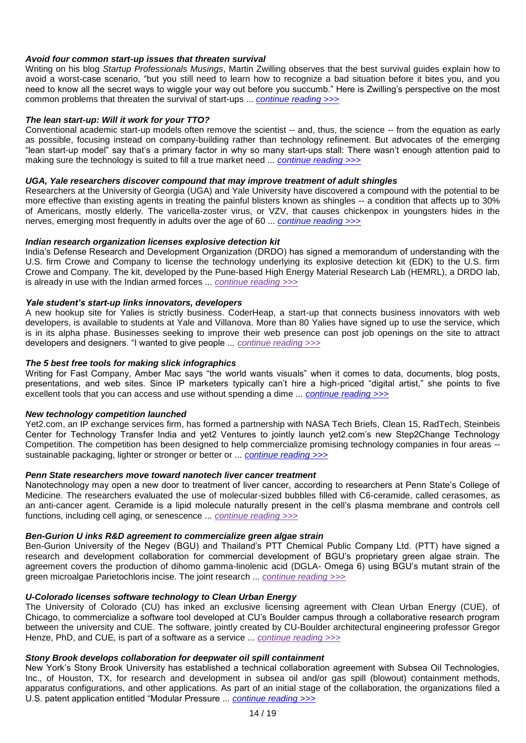## *Avoid four common start-up issues that threaten survival*

Writing on his blog *Startup Professionals Musings*, Martin Zwilling observes that the best survival guides explain how to avoid a worst-case scenario, "but you still need to learn how to recognize a bad situation before it bites you, and you need to know all the secret ways to wiggle your way out before you succumb." Here is Zwilling"s perspective on the most common problems that threaten the survival of start-ups ... *[continue reading >>>](http://www.technologytransfertactics.com/content/2011/04/27/avoid-four-common-start-up-issues-that-threaten-survival/)*

## *The lean start-up: Will it work for your TTO?*

Conventional academic start-up models often remove the scientist -- and, thus, the science -- from the equation as early as possible, focusing instead on company-building rather than technology refinement. But advocates of the emerging "lean start-up model" say that"s a primary factor in why so many start-ups stall: There wasn"t enough attention paid to making sure the technology is suited to fill a true market need ... *[continue reading](http://www.technologytransfertactics.com/content/2011/04/27/the-lean-start-up-will-it-work-for-your-tto/) >>>*

## *UGA, Yale researchers discover compound that may improve treatment of adult shingles*

Researchers at the University of Georgia (UGA) and Yale University have discovered a compound with the potential to be more effective than existing agents in treating the painful blisters known as shingles -- a condition that affects up to 30% of Americans, mostly elderly. The varicella-zoster virus, or VZV, that causes chickenpox in youngsters hides in the nerves, emerging most frequently in adults over the age of 60 ... *[continue reading >>>](http://www.technologytransfertactics.com/content/2011/04/27/uga-yale-researchers-discover-compound-that-may-improve-treatment-of-adult-shingles/)*

## *Indian research organization licenses explosive detection kit*

India"s Defense Research and Development Organization (DRDO) has signed a memorandum of understanding with the U.S. firm Crowe and Company to license the technology underlying its explosive detection kit (EDK) to the U.S. firm Crowe and Company. The kit, developed by the Pune-based High Energy Material Research Lab (HEMRL), a DRDO lab, is already in use with the Indian armed forces ... *[continue reading >>>](http://www.technologytransfertactics.com/content/2011/04/27/indian-research-organization-licenses-explosive-detection-kit/)*

## *Yale student"s start-up links innovators, developers*

A new hookup site for Yalies is strictly business. CoderHeap, a start-up that connects business innovators with web developers, is available to students at Yale and Villanova. More than 80 Yalies have signed up to use the service, which is in its alpha phase. Businesses seeking to improve their web presence can post job openings on the site to attract developers and designers. "I wanted to give people ... *[continue reading >>>](http://www.technologytransfertactics.com/content/2011/04/27/yale-student%e2%80%99s-start-up-links-innovators-developers/)*

## *The 5 best free tools for making slick infographics*

Writing for Fast Company, Amber Mac says "the world wants visuals" when it comes to data, documents, blog posts, presentations, and web sites. Since IP marketers typically can"t hire a high-priced "digital artist," she points to five excellent tools that you can access and use without spending a dime ... *[continue reading >>>](http://www.ipmarketingadvisor.com/content/2011/05/03/the-5-best-free-tools-for-making-slick-infographics/)*

### *New technology competition launched*

Yet2.com, an IP exchange services firm, has formed a partnership with NASA Tech Briefs, Clean 15, RadTech, Steinbeis Center for Technology Transfer India and yet2 Ventures to jointly launch yet2.com"s new Step2Change Technology Competition. The competition has been designed to help commercialize promising technology companies in four areas - sustainable packaging, lighter or stronger or better or ... *[continue reading >>>](http://www.ipmarketingadvisor.com/content/2011/03/08/new-technology-competition-launched/)*

### *Penn State researchers move toward nanotech liver cancer treatment*

Nanotechnology may open a new door to treatment of liver cancer, according to researchers at Penn State's College of Medicine. The researchers evaluated the use of molecular-sized bubbles filled with C6-ceramide, called cerasomes, as an anti-cancer agent. Ceramide is a lipid molecule naturally present in the cell"s plasma membrane and controls cell functions, including cell aging, or senescence ... *[continue reading >>>](http://www.technologytransfertactics.com/content/2011/03/16/penn-state-researchers-move-toward-nanotech-liver-cancer-treatment/)*

## *Ben-Gurion U inks R&D agreement to commercialize green algae strain*

Ben-Gurion University of the Negev (BGU) and Thailand"s PTT Chemical Public Company Ltd. (PTT) have signed a research and development collaboration for commercial development of BGU"s proprietary green algae strain. The agreement covers the production of dihomo gamma-linolenic acid (DGLA- Omega 6) using BGU"s mutant strain of the green microalgae Parietochloris incise. The joint research ... *[continue reading >>>](http://www.technologytransfertactics.com/content/2011/03/16/ben-gurion-u-inks-rd-agreement-to-commercialize-green-algae-strain/)*

## *U-Colorado licenses software technology to Clean Urban Energy*

The University of Colorado (CU) has inked an exclusive licensing agreement with Clean Urban Energy (CUE), of Chicago, to commercialize a software tool developed at CU"s Boulder campus through a collaborative research program between the university and CUE. The software, jointly created by CU-Boulder architectural engineering professor Gregor Henze, PhD, and CUE, is part of a software as a service ... *[continue reading >>>](http://www.technologytransfertactics.com/content/2011/03/16/u-colorado-licenses-software-technology-to-clean-urban-energy/)*

### *Stony Brook develops collaboration for deepwater oil spill containment*

New York"s Stony Brook University has established a technical collaboration agreement with Subsea Oil Technologies, Inc., of Houston, TX, for research and development in subsea oil and/or gas spill (blowout) containment methods, apparatus configurations, and other applications. As part of an initial stage of the collaboration, the organizations filed a U.S. patent application entitled "Modular Pressure ... *[continue reading >>>](http://www.technologytransfertactics.com/content/2011/03/16/stony-brook-develops-collaboration-for-deepwater-oil-spill-containment/)*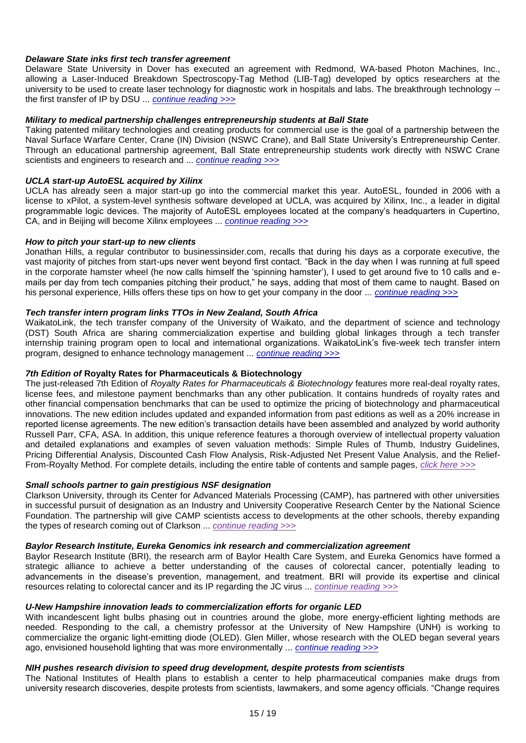## *Delaware State inks first tech transfer agreement*

Delaware State University in Dover has executed an agreement with Redmond, WA-based Photon Machines, Inc., allowing a Laser-Induced Breakdown Spectroscopy-Tag Method (LIB-Tag) developed by optics researchers at the university to be used to create laser technology for diagnostic work in hospitals and labs. The breakthrough technology - the first transfer of IP by DSU ... *[continue reading >>>](http://www.technologytransfertactics.com/content/2011/03/16/delware-state-inks-first-tech-transfer-agreement/)*

### *Military to medical partnership challenges entrepreneurship students at Ball State*

Taking patented military technologies and creating products for commercial use is the goal of a partnership between the Naval Surface Warfare Center, Crane (IN) Division (NSWC Crane), and Ball State University"s Entrepreneurship Center. Through an educational partnership agreement, Ball State entrepreneurship students work directly with NSWC Crane scientists and engineers to research and ... *[continue reading >>>](http://www.technologytransfertactics.com/content/2011/03/16/military-to-medical-partnership-challenges-entrepreneurship-students-at-ball-state/)*

# *UCLA start-up AutoESL acquired by Xilinx*

UCLA has already seen a major start-up go into the commercial market this year. AutoESL, founded in 2006 with a license to xPilot, a system-level synthesis software developed at UCLA, was acquired by Xilinx, Inc., a leader in digital programmable logic devices. The majority of AutoESL employees located at the company"s headquarters in Cupertino, CA, and in Beijing will become Xilinx employees ... *[continue reading >>>](http://www.technologytransfertactics.com/content/2011/03/16/ucla-start-up-autoesl-acquired-by-xilinx/)*

### *How to pitch your start-up to new clients*

Jonathan Hills, a regular contributor to businessinsider.com, recalls that during his days as a corporate executive, the vast majority of pitches from start-ups never went beyond first contact. "Back in the day when I was running at full speed in the corporate hamster wheel (he now calls himself the "spinning hamster"), I used to get around five to 10 calls and emails per day from tech companies pitching their product," he says, adding that most of them came to naught. Based on his personal experience, Hills offers these tips on how to get your company in the door ... *[continue reading >>>](http://www.ipmarketingadvisor.com/content/2011/05/10/how-to-pitch-your-start-up-to-new-clients/)*

## *Tech transfer intern program links TTOs in New Zealand, South Africa*

WaikatoLink, the tech transfer company of the University of Waikato, and the department of science and technology (DST) South Africa are sharing commercialization expertise and building global linkages through a tech transfer internship training program open to local and international organizations. WaikatoLink's five-week tech transfer intern program, designed to enhance technology management ... *[continue reading >>>](http://www.technologytransfertactics.com/content/2011/03/16/tech-transfer-intern-program-links-ttos-in-new-zealand-south-africa/)*

# *7th Edition of* **Royalty Rates for Pharmaceuticals & Biotechnology**

The just-released 7th Edition of *Royalty Rates for Pharmaceuticals & Biotechnology* features more real-deal royalty rates, license fees, and milestone payment benchmarks than any other publication. It contains hundreds of royalty rates and other financial compensation benchmarks that can be used to optimize the pricing of biotechnology and pharmaceutical innovations. The new edition includes updated and expanded information from past editions as well as a 20% increase in reported license agreements. The new edition"s transaction details have been assembled and analyzed by world authority Russell Parr, CFA, ASA. In addition, this unique reference features a thorough overview of intellectual property valuation and detailed explanations and examples of seven valuation methods: Simple Rules of Thumb, Industry Guidelines, Pricing Differential Analysis, Discounted Cash Flow Analysis, Risk-Adjusted Net Present Value Analysis, and the Relief-From-Royalty Method. For complete details, including the entire table of contents and sample pages, *[click here >>>](http://www.ipmarketingadvisor.com/content/ipra/pharma-en/)*

### *Small schools partner to gain prestigious NSF designation*

Clarkson University, through its Center for Advanced Materials Processing (CAMP), has partnered with other universities in successful pursuit of designation as an Industry and University Cooperative Research Center by the National Science Foundation. The partnership will give CAMP scientists access to developments at the other schools, thereby expanding the types of research coming out of Clarkson ... *[continue reading >>>](http://www.ipmarketingadvisor.com/content/2011/03/08/small-schools-partner-to-gain-prestigious-nsf-designation/)*

## *Baylor Research Institute, Eureka Genomics ink research and commercialization agreement*

Baylor Research Institute (BRI), the research arm of Baylor Health Care System, and Eureka Genomics have formed a strategic alliance to achieve a better understanding of the causes of colorectal cancer, potentially leading to advancements in the disease"s prevention, management, and treatment. BRI will provide its expertise and clinical resources relating to colorectal cancer and its IP regarding the JC virus ... *[continue reading >>>](http://www.technologytransfertactics.com/content/2011/03/09/baylor-research-institute-eureka-genomics-ink-research-and-commercialization-agreement/)*

## *U-New Hampshire innovation leads to commercialization efforts for organic LED*

With incandescent light bulbs phasing out in countries around the globe, more energy-efficient lighting methods are needed. Responding to the call, a chemistry professor at the University of New Hampshire (UNH) is working to commercialize the organic light-emitting diode (OLED). Glen Miller, whose research with the OLED began several years ago, envisioned household lighting that was more environmentally ... *[continue reading >>>](http://www.technologytransfertactics.com/content/2011/03/09/u-new-hampshire-innovation-leads-to-commercialization-efforts-for-organic-led/)*

### *NIH pushes research division to speed drug development, despite protests from scientists*

The National Institutes of Health plans to establish a center to help pharmaceutical companies make drugs from university research discoveries, despite protests from scientists, lawmakers, and some agency officials. "Change requires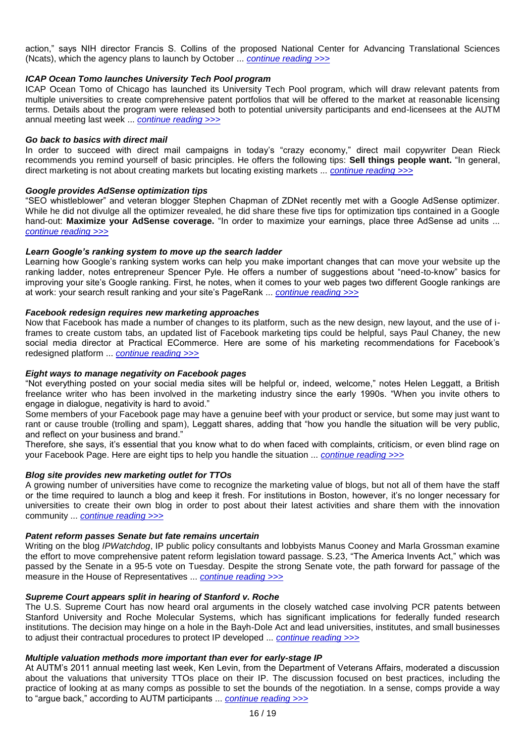action," says NIH director Francis S. Collins of the proposed National Center for Advancing Translational Sciences (Ncats), which the agency plans to launch by October ... *[continue reading >>>](http://www.technologytransfertactics.com/content/2011/03/09/nih-pushes-research-division-to-speed-drug-development-despite-protests-from-scientists/)*

## *ICAP Ocean Tomo launches University Tech Pool program*

ICAP Ocean Tomo of Chicago has launched its University Tech Pool program, which will draw relevant patents from multiple universities to create comprehensive patent portfolios that will be offered to the market at reasonable licensing terms. Details about the program were released both to potential university participants and end-licensees at the AUTM annual meeting last week ... *[continue reading >>>](http://www.technologytransfertactics.com/content/2011/03/09/icap-ocean-tomo-launches-university-tech-pool-program/)*

## *Go back to basics with direct mail*

In order to succeed with direct mail campaigns in today's "crazy economy," direct mail copywriter Dean Rieck recommends you remind yourself of basic principles. He offers the following tips: **Sell things people want.** "In general, direct marketing is not about creating markets but locating existing markets ... *[continue reading >>>](http://www.ipmarketingadvisor.com/content/2011/03/15/go-back-to-basics-with-direct-mail/)*

#### *Google provides AdSense optimization tips*

"SEO whistleblower" and veteran blogger Stephen Chapman of ZDNet recently met with a Google AdSense optimizer. While he did not divulge all the optimizer revealed, he did share these five tips for optimization tips contained in a Google hand-out: **Maximize your AdSense coverage.** "In order to maximize your earnings, place three AdSense ad units ... *[continue reading >>>](http://www.ipmarketingadvisor.com/content/2011/03/15/google-provides-adsense-optimization-tips/)*

#### *Learn Google"s ranking system to move up the search ladder*

Learning how Google's ranking system works can help you make important changes that can move your website up the ranking ladder, notes entrepreneur Spencer Pyle. He offers a number of suggestions about "need-to-know" basics for improving your site's Google ranking. First, he notes, when it comes to your web pages two different Google rankings are at work: your search result ranking and your site"s PageRank ... *[continue reading >>>](http://www.ipmarketingadvisor.com/content/2011/03/08/learn-google%e2%80%99s-ranking-system-to-move-up-the-search-ladder/)*

#### *Facebook redesign requires new marketing approaches*

Now that Facebook has made a number of changes to its platform, such as the new design, new layout, and the use of iframes to create custom tabs, an updated list of Facebook marketing tips could be helpful, says Paul Chaney, the new social media director at Practical ECommerce. Here are some of his marketing recommendations for Facebook"s redesigned platform ... *[continue reading >>>](http://www.ipmarketingadvisor.com/content/2011/03/15/facebook-redesign-requires-new-marketing-approaches/)*

### *Eight ways to manage negativity on Facebook pages*

"Not everything posted on your social media sites will be helpful or, indeed, welcome," notes Helen Leggatt, a British freelance writer who has been involved in the marketing industry since the early 1990s. "When you invite others to engage in dialogue, negativity is hard to avoid."

Some members of your Facebook page may have a genuine beef with your product or service, but some may just want to rant or cause trouble (trolling and spam), Leggatt shares, adding that "how you handle the situation will be very public, and reflect on your business and brand."

Therefore, she says, it"s essential that you know what to do when faced with complaints, criticism, or even blind rage on your Facebook Page. Here are eight tips to help you handle the situation ... *[continue reading >>>](http://www.ipmarketingadvisor.com/content/2011/05/10/eight-ways-to-manage-negativity-on-facebook-pages/)*

#### *Blog site provides new marketing outlet for TTOs*

A growing number of universities have come to recognize the marketing value of blogs, but not all of them have the staff or the time required to launch a blog and keep it fresh. For institutions in Boston, however, it"s no longer necessary for universities to create their own blog in order to post about their latest activities and share them with the innovation community ... *[continue reading >>>](http://www.ipmarketingadvisor.com/content/2011/03/15/blog-site-provides-new-marketing-outlet-for-ttos/)*

## *Patent reform passes Senate but fate remains uncertain*

Writing on the blog *IPWatchdog*, IP public policy consultants and lobbyists Manus Cooney and Marla Grossman examine the effort to move comprehensive patent reform legislation toward passage. S.23, "The America Invents Act," which was passed by the Senate in a 95-5 vote on Tuesday. Despite the strong Senate vote, the path forward for passage of the measure in the House of Representatives ... *[continue reading >>>](http://www.technologytransfertactics.com/content/2011/03/09/patent-reform-passes-senate-but-fate-remains-uncertain/)*

### *Supreme Court appears split in hearing of Stanford v. Roche*

The U.S. Supreme Court has now heard oral arguments in the closely watched case involving PCR patents between Stanford University and Roche Molecular Systems, which has significant implications for federally funded research institutions. The decision may hinge on a hole in the Bayh-Dole Act and lead universities, institutes, and small businesses to adjust their contractual procedures to protect IP developed ... *[continue reading >>>](http://www.technologytransfertactics.com/content/2011/03/09/supreme-court-appears-split-in-hearing-of-stanford-v-roche/)*

### *Multiple valuation methods more important than ever for early-stage IP*

At AUTM"s 2011 annual meeting last week, Ken Levin, from the Department of Veterans Affairs, moderated a discussion about the valuations that university TTOs place on their IP. The discussion focused on best practices, including the practice of looking at as many comps as possible to set the bounds of the negotiation. In a sense, comps provide a way to "argue back," according to AUTM participants ... *[continue reading >>>](http://www.technologytransfertactics.com/content/2011/03/09/multiple-valuation-methods-more-important-than-ever-for-early-stage-ip/)*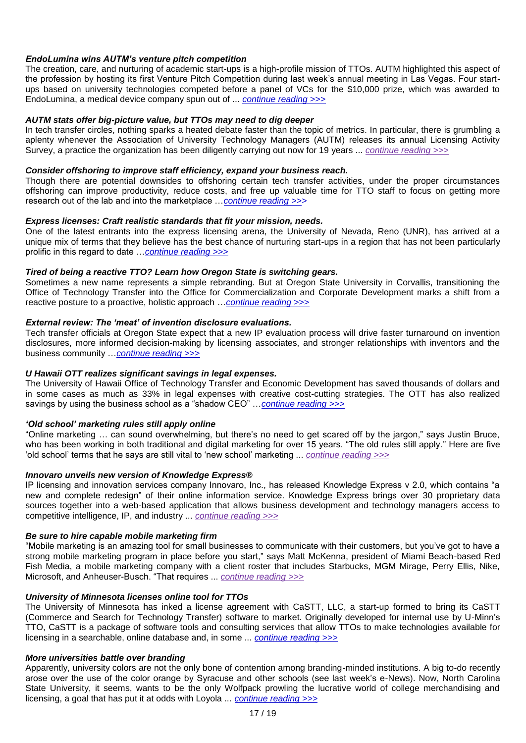## *EndoLumina wins AUTM"s venture pitch competition*

The creation, care, and nurturing of academic start-ups is a high-profile mission of TTOs. AUTM highlighted this aspect of the profession by hosting its first Venture Pitch Competition during last week"s annual meeting in Las Vegas. Four startups based on university technologies competed before a panel of VCs for the \$10,000 prize, which was awarded to EndoLumina, a medical device company spun out of ... *[continue reading >>>](http://www.technologytransfertactics.com/content/2011/03/09/endolumina-wins-autm%e2%80%99s-venture-pitch-competition/)*

## *AUTM stats offer big-picture value, but TTOs may need to dig deeper*

In tech transfer circles, nothing sparks a heated debate faster than the topic of metrics. In particular, there is grumbling a aplenty whenever the Association of University Technology Managers (AUTM) releases its annual Licensing Activity Survey, a practice the organization has been diligently carrying out now for 19 years ... *[continue reading >>>](http://www.technologytransfertactics.com/content/2011/03/16/autm-stats-offer-big-picture-value-but-ttos-may-need-to-dig-deeper/)*

## *Consider offshoring to improve staff efficiency, expand your business reach.*

Though there are potential downsides to offshoring certain tech transfer activities, under the proper circumstances offshoring can improve productivity, reduce costs, and free up valuable time for TTO staff to focus on getting more research out of the lab and into the marketplace …*[continue reading >>>](http://www.technologytransfertactics.com/content/spec/current-continued/)*

### *Express licenses: Craft realistic standards that fit your mission, needs.*

One of the latest entrants into the express licensing arena, the University of Nevada, Reno (UNR), has arrived at a unique mix of terms that they believe has the best chance of nurturing start-ups in a region that has not been particularly prolific in this regard to date …*[continue reading >>>](http://www.technologytransfertactics.com/content/spec/current-continued/)*

## *Tired of being a reactive TTO? Learn how Oregon State is switching gears.*

Sometimes a new name represents a simple rebranding. But at Oregon State University in Corvallis, transitioning the Office of Technology Transfer into the Office for Commercialization and Corporate Development marks a shift from a reactive posture to a proactive, holistic approach …*[continue reading >>>](http://www.technologytransfertactics.com/content/spec/current-continued/)*

# *External review: The "meat" of invention disclosure evaluations.*

Tech transfer officials at Oregon State expect that a new IP evaluation process will drive faster turnaround on invention disclosures, more informed decision-making by licensing associates, and stronger relationships with inventors and the business community …*[continue reading >>>](http://www.technologytransfertactics.com/content/spec/current-continued/)*

## *U Hawaii OTT realizes significant savings in legal expenses.*

The University of Hawaii Office of Technology Transfer and Economic Development has saved thousands of dollars and in some cases as much as 33% in legal expenses with creative cost-cutting strategies. The OTT has also realized savings by using the business school as a "shadow CEO" …*[continue reading >>>](http://www.technologytransfertactics.com/content/spec/current-continued/)*

### *"Old school" marketing rules still apply online*

"Online marketing … can sound overwhelming, but there"s no need to get scared off by the jargon," says Justin Bruce, who has been working in both traditional and digital marketing for over 15 years. "The old rules still apply." Here are five "old school" terms that he says are still vital to "new school" marketing ... *[continue reading >>>](http://www.ipmarketingadvisor.com/content/2011/04/12/%e2%80%98old-school%e2%80%99-marketing-rules-still-apply-online/)*

### *Innovaro unveils new version of Knowledge Express®*

IP licensing and innovation services company Innovaro, Inc., has released Knowledge Express v 2.0, which contains "a new and complete redesign" of their online information service. Knowledge Express brings over 30 proprietary data sources together into a web-based application that allows business development and technology managers access to competitive intelligence, IP, and industry ... *[continue reading >>>](http://www.ipmarketingadvisor.com/content/2011/04/12/innovaro-unveils-new-version-of-knowledge-express%c2%ae/)*

## *Be sure to hire capable mobile marketing firm*

"Mobile marketing is an amazing tool for small businesses to communicate with their customers, but you"ve got to have a strong mobile marketing program in place before you start," says Matt McKenna, president of Miami Beach-based Red Fish Media, a mobile marketing company with a client roster that includes Starbucks, MGM Mirage, Perry Ellis, Nike, Microsoft, and Anheuser-Busch. "That requires ... *[continue reading >>>](http://www.ipmarketingadvisor.com/content/2011/04/12/be-sure-to-hire-capable-mobile-marketing-firm/)*

### *University of Minnesota licenses online tool for TTOs*

The University of Minnesota has inked a license agreement with CaSTT, LLC, a start-up formed to bring its CaSTT (Commerce and Search for Technology Transfer) software to market. Originally developed for internal use by U-Minn"s TTO, CaSTT is a package of software tools and consulting services that allow TTOs to make technologies available for licensing in a searchable, online database and, in some ... *[continue reading >>>](http://www.ipmarketingadvisor.com/content/2011/04/05/university-of-minnesota-licenses-online-tool-for-ttos/)*

### *More universities battle over branding*

Apparently, university colors are not the only bone of contention among branding-minded institutions. A big to-do recently arose over the use of the color orange by Syracuse and other schools (see last week"s e-News). Now, North Carolina State University, it seems, wants to be the only Wolfpack prowling the lucrative world of college merchandising and licensing, a goal that has put it at odds with Loyola ... *[continue reading >>>](http://www.ipmarketingadvisor.com/content/2011/04/05/more-universities-battle-over-branding/)*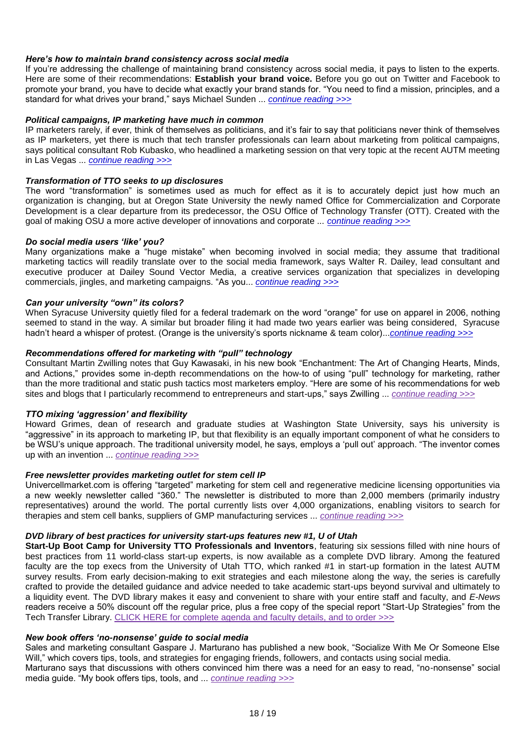## *Here"s how to maintain brand consistency across social media*

If you"re addressing the challenge of maintaining brand consistency across social media, it pays to listen to the experts. Here are some of their recommendations: **Establish your brand voice.** Before you go out on Twitter and Facebook to promote your brand, you have to decide what exactly your brand stands for. "You need to find a mission, principles, and a standard for what drives your brand," says Michael Sunden ... *[continue reading >>>](http://www.ipmarketingadvisor.com/content/2011/03/29/here%e2%80%99s-how-to-maintain-brand-consistency-across-social-media/)*

## *Political campaigns, IP marketing have much in common*

IP marketers rarely, if ever, think of themselves as politicians, and it"s fair to say that politicians never think of themselves as IP marketers, yet there is much that tech transfer professionals can learn about marketing from political campaigns, says political consultant Rob Kubasko, who headlined a marketing session on that very topic at the recent AUTM meeting in Las Vegas ... *[continue reading >>>](http://www.ipmarketingadvisor.com/content/2011/04/05/political-campaigns-ip-marketing-have-much-in-common/)*

### *Transformation of TTO seeks to up disclosures*

The word "transformation" is sometimes used as much for effect as it is to accurately depict just how much an organization is changing, but at Oregon State University the newly named Office for Commercialization and Corporate Development is a clear departure from its predecessor, the OSU Office of Technology Transfer (OTT). Created with the goal of making OSU a more active developer of innovations and corporate ... *[continue reading >>>](http://www.ipmarketingadvisor.com/content/2011/03/29/transformation-of-tto-seeks-to-up-disclosures/)*

### *Do social media users "like" you?*

Many organizations make a "huge mistake" when becoming involved in social media; they assume that traditional marketing tactics will readily translate over to the social media framework, says Walter R. Dailey, lead consultant and executive producer at Dailey Sound Vector Media, a creative services organization that specializes in developing commercials, jingles, and marketing campaigns. "As you... *[continue reading >>>](http://www.ipmarketingadvisor.com/content/2011/03/29/do-social-media-users-%e2%80%98like%e2%80%99-you/)*

## *Can your university "own" its colors?*

When Syracuse University quietly filed for a federal trademark on the word "orange" for use on apparel in 2006, nothing seemed to stand in the way. A similar but broader filing it had made two years earlier was being considered, Syracuse hadn't heard a whisper of protest. (Orange is the university's sports nickname & team color)...*continue reading* >>>

# *Recommendations offered for marketing with "pull" technology*

Consultant Martin Zwilling notes that Guy Kawasaki, in his new book "Enchantment: The Art of Changing Hearts, Minds, and Actions," provides some in-depth recommendations on the how-to of using "pull" technology for marketing, rather than the more traditional and static push tactics most marketers employ. "Here are some of his recommendations for web sites and blogs that I particularly recommend to entrepreneurs and start-ups," says Zwilling ... *[continue reading >>>](http://www.ipmarketingadvisor.com/content/2011/03/22/recommendations-offered-for-marketing-with-%e2%80%9cpull%e2%80%9d-technology/)*

### *TTO mixing "aggression" and flexibility*

Howard Grimes, dean of research and graduate studies at Washington State University, says his university is "aggressive" in its approach to marketing IP, but that flexibility is an equally important component of what he considers to be WSU"s unique approach. The traditional university model, he says, employs a "pull out" approach. "The inventor comes up with an invention ... *[continue reading >>>](http://www.ipmarketingadvisor.com/content/2011/03/22/tto-mixing-%e2%80%98aggression%e2%80%99-and-flexibility/)*

### *Free newsletter provides marketing outlet for stem cell IP*

Univercellmarket.com is offering "targeted" marketing for stem cell and regenerative medicine licensing opportunities via a new weekly newsletter called "360." The newsletter is distributed to more than 2,000 members (primarily industry representatives) around the world. The portal currently lists over 4,000 organizations, enabling visitors to search for therapies and stem cell banks, suppliers of GMP manufacturing services ... *[continue reading >>>](http://www.ipmarketingadvisor.com/content/2011/03/22/free-newsletter-provides-marketing-outlet-for-stem-cell-ip/)*

## *DVD library of best practices for university start-ups features new #1, U of Utah*

**Start-Up Boot Camp for University TTO Professionals and Inventors**, featuring six sessions filled with nine hours of best practices from 11 world-class start-up experts, is now available as a complete DVD library. Among the featured faculty are the top execs from the University of Utah TTO, which ranked #1 in start-up formation in the latest AUTM survey results. From early decision-making to exit strategies and each milestone along the way, the series is carefully crafted to provide the detailed guidance and advice needed to take academic start-ups beyond survival and ultimately to a liquidity event. The DVD library makes it easy and convenient to share with your entire staff and faculty, and *E-News* readers receive a 50% discount off the regular price, plus a free copy of the special report "Start-Up Strategies" from the Tech Transfer Library. [CLICK HERE for complete agenda and faculty details, and to order >>>](http://www.ipmarketingadvisor.com/content/audio/subc-en/)

### *New book offers "no-nonsense" guide to social media*

Sales and marketing consultant Gaspare J. Marturano has published a new book, "Socialize With Me Or Someone Else Will," which covers tips, tools, and strategies for engaging friends, followers, and contacts using social media. Marturano says that discussions with others convinced him there was a need for an easy to read, "no-nonsense" social media guide. "My book offers tips, tools, and ... *[continue reading >>>](http://www.ipmarketingadvisor.com/content/2011/03/22/new-book-offers-%e2%80%98no-nonsense%e2%80%99-guide-to-social-media/)*